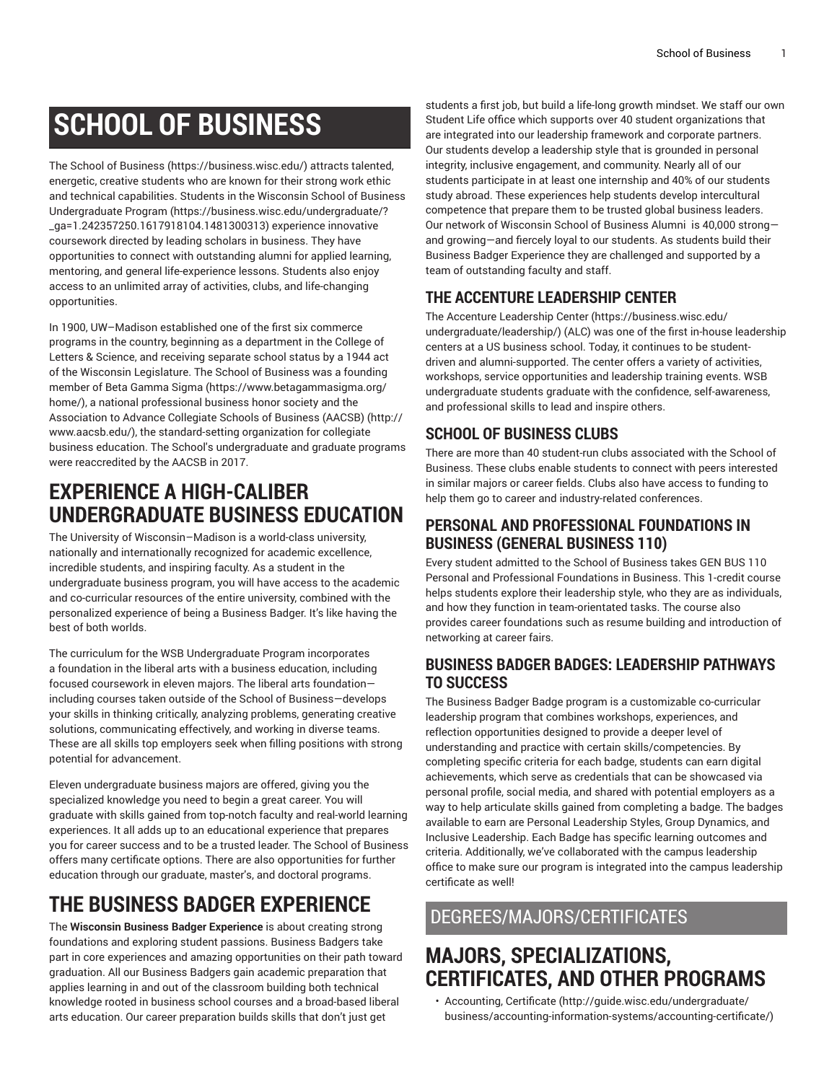# **SCHOOL OF BUSINESS**

The [School of Business \(https://business.wisc.edu/](https://business.wisc.edu/)) attracts talented, energetic, creative students who are known for their strong work ethic and technical capabilities. Students in the [Wisconsin School of Business](https://business.wisc.edu/undergraduate/?_ga=1.242357250.1617918104.1481300313) [Undergraduate](https://business.wisc.edu/undergraduate/?_ga=1.242357250.1617918104.1481300313) Program [\(https://business.wisc.edu/undergraduate/?](https://business.wisc.edu/undergraduate/?_ga=1.242357250.1617918104.1481300313) [\\_ga=1.242357250.1617918104.1481300313](https://business.wisc.edu/undergraduate/?_ga=1.242357250.1617918104.1481300313)) experience innovative coursework directed by leading scholars in business. They have opportunities to connect with outstanding alumni for applied learning, mentoring, and general life-experience lessons. Students also enjoy access to an unlimited array of activities, clubs, and life-changing opportunities.

In 1900, UW–Madison established one of the first six commerce programs in the country, beginning as a department in the College of Letters & Science, and receiving separate school status by a 1944 act of the Wisconsin Legislature. The School of Business was a founding member of [Beta Gamma Sigma \(https://www.betagammasigma.org/](https://www.betagammasigma.org/home/) [home/\)](https://www.betagammasigma.org/home/), a national professional business honor society and the [Association](http://www.aacsb.edu/) to Advance Collegiate Schools of Business (AACSB) [\(http://](http://www.aacsb.edu/) [www.aacsb.edu/](http://www.aacsb.edu/)), the standard-setting organization for collegiate business education. The School's undergraduate and graduate programs were reaccredited by the AACSB in 2017.

# **EXPERIENCE A HIGH-CALIBER UNDERGRADUATE BUSINESS EDUCATION**

The University of Wisconsin–Madison is a world-class university, nationally and internationally recognized for academic excellence, incredible students, and inspiring faculty. As a student in the undergraduate business program, you will have access to the academic and co-curricular resources of the entire university, combined with the personalized experience of being a Business Badger. It's like having the best of both worlds.

The curriculum for the WSB Undergraduate Program incorporates a foundation in the liberal arts with a business education, including focused coursework in eleven majors. The liberal arts foundation including courses taken outside of the School of Business—develops your skills in thinking critically, analyzing problems, generating creative solutions, communicating effectively, and working in diverse teams. These are all skills top employers seek when filling positions with strong potential for advancement.

Eleven undergraduate business majors are offered, giving you the specialized knowledge you need to begin a great career. You will graduate with skills gained from top-notch faculty and real-world learning experiences. It all adds up to an educational experience that prepares you for career success and to be a trusted leader. The School of Business offers many certificate options. There are also opportunities for further education through our graduate, master's, and doctoral programs.

# **THE BUSINESS BADGER EXPERIENCE**

The **Wisconsin Business Badger Experience** is about creating strong foundations and exploring student passions. Business Badgers take part in core experiences and amazing opportunities on their path toward graduation. All our Business Badgers gain academic preparation that applies learning in and out of the classroom building both technical knowledge rooted in business school courses and a broad-based liberal arts education. Our career preparation builds skills that don't just get

students a first job, but build a life-long growth mindset. We staff our own Student Life office which supports over 40 student organizations that are integrated into our leadership framework and corporate partners. Our students develop a leadership style that is grounded in personal integrity, inclusive engagement, and community. Nearly all of our students participate in at least one internship and 40% of our students study abroad. These experiences help students develop intercultural competence that prepare them to be trusted global business leaders. Our network of Wisconsin School of Business Alumni is 40,000 strong and growing—and fiercely loyal to our students. As students build their Business Badger Experience they are challenged and supported by a team of outstanding faculty and staff.

## **THE ACCENTURE LEADERSHIP CENTER**

The Accenture [Leadership](https://business.wisc.edu/undergraduate/leadership/) Center [\(https://business.wisc.edu/](https://business.wisc.edu/undergraduate/leadership/) [undergraduate/leadership/](https://business.wisc.edu/undergraduate/leadership/)) (ALC) was one of the first in-house leadership centers at a US business school. Today, it continues to be studentdriven and alumni-supported. The center offers a variety of activities, workshops, service opportunities and leadership training events. WSB undergraduate students graduate with the confidence, self-awareness, and professional skills to lead and inspire others.

## **SCHOOL OF BUSINESS CLUBS**

There are more than 40 student-run clubs associated with the School of Business. These clubs enable students to connect with peers interested in similar majors or career fields. Clubs also have access to funding to help them go to career and industry-related conferences.

## **PERSONAL AND PROFESSIONAL FOUNDATIONS IN BUSINESS (GENERAL BUSINESS 110)**

Every student admitted to the School of Business takes GEN BUS 110 Personal and Professional Foundations in Business. This 1-credit course helps students explore their leadership style, who they are as individuals, and how they function in team-orientated tasks. The course also provides career foundations such as resume building and introduction of networking at career fairs.

## **BUSINESS BADGER BADGES: LEADERSHIP PATHWAYS TO SUCCESS**

The Business Badger Badge program is a customizable co-curricular leadership program that combines workshops, experiences, and reflection opportunities designed to provide a deeper level of understanding and practice with certain skills/competencies. By completing specific criteria for each badge, students can earn digital achievements, which serve as credentials that can be showcased via personal profile, social media, and shared with potential employers as a way to help articulate skills gained from completing a badge. The badges available to earn are Personal Leadership Styles, Group Dynamics, and Inclusive Leadership. Each Badge has specific learning outcomes and criteria. Additionally, we've collaborated with the campus leadership office to make sure our program is integrated into the campus leadership certificate as well!

## DEGREES/MAJORS/CERTIFICATES

# **MAJORS, SPECIALIZATIONS, CERTIFICATES, AND OTHER PROGRAMS**

• [Accounting,](http://guide.wisc.edu/undergraduate/business/accounting-information-systems/accounting-certificate/) Certificate ([http://guide.wisc.edu/undergraduate/](http://guide.wisc.edu/undergraduate/business/accounting-information-systems/accounting-certificate/) [business/accounting-information-systems/accounting-certificate/](http://guide.wisc.edu/undergraduate/business/accounting-information-systems/accounting-certificate/))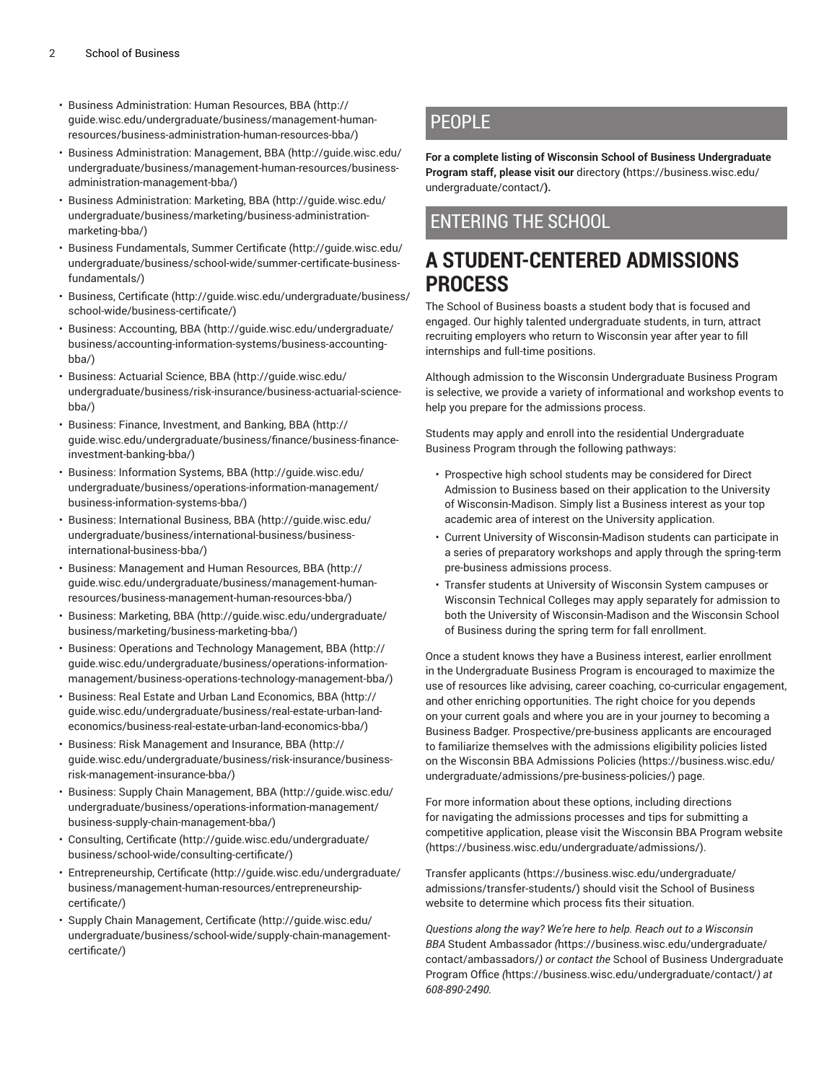- Business [Administration:](http://guide.wisc.edu/undergraduate/business/management-human-resources/business-administration-human-resources-bba/) Human Resources, BBA ([http://](http://guide.wisc.edu/undergraduate/business/management-human-resources/business-administration-human-resources-bba/) [guide.wisc.edu/undergraduate/business/management-human](http://guide.wisc.edu/undergraduate/business/management-human-resources/business-administration-human-resources-bba/)[resources/business-administration-human-resources-bba/\)](http://guide.wisc.edu/undergraduate/business/management-human-resources/business-administration-human-resources-bba/)
- [Business Administration: Management, BBA \(http://guide.wisc.edu/](http://guide.wisc.edu/undergraduate/business/management-human-resources/business-administration-management-bba/) [undergraduate/business/management-human-resources/business](http://guide.wisc.edu/undergraduate/business/management-human-resources/business-administration-management-bba/)[administration-management-bba/](http://guide.wisc.edu/undergraduate/business/management-human-resources/business-administration-management-bba/))
- Business [Administration:](http://guide.wisc.edu/undergraduate/business/marketing/business-administration-marketing-bba/) Marketing, BBA ([http://guide.wisc.edu/](http://guide.wisc.edu/undergraduate/business/marketing/business-administration-marketing-bba/) [undergraduate/business/marketing/business-administration](http://guide.wisc.edu/undergraduate/business/marketing/business-administration-marketing-bba/)[marketing-bba/](http://guide.wisc.edu/undergraduate/business/marketing/business-administration-marketing-bba/))
- Business [Fundamentals,](http://guide.wisc.edu/undergraduate/business/school-wide/summer-certificate-business-fundamentals/) Summer Certificate [\(http://guide.wisc.edu/](http://guide.wisc.edu/undergraduate/business/school-wide/summer-certificate-business-fundamentals/) [undergraduate/business/school-wide/summer-certificate-business](http://guide.wisc.edu/undergraduate/business/school-wide/summer-certificate-business-fundamentals/)[fundamentals/](http://guide.wisc.edu/undergraduate/business/school-wide/summer-certificate-business-fundamentals/))
- Business, [Certificate](http://guide.wisc.edu/undergraduate/business/school-wide/business-certificate/) [\(http://guide.wisc.edu/undergraduate/business/](http://guide.wisc.edu/undergraduate/business/school-wide/business-certificate/) [school-wide/business-certificate/](http://guide.wisc.edu/undergraduate/business/school-wide/business-certificate/))
- [Business: Accounting, BBA](http://guide.wisc.edu/undergraduate/business/accounting-information-systems/business-accounting-bba/) ([http://guide.wisc.edu/undergraduate/](http://guide.wisc.edu/undergraduate/business/accounting-information-systems/business-accounting-bba/) [business/accounting-information-systems/business-accounting](http://guide.wisc.edu/undergraduate/business/accounting-information-systems/business-accounting-bba/)[bba/\)](http://guide.wisc.edu/undergraduate/business/accounting-information-systems/business-accounting-bba/)
- [Business: Actuarial Science, BBA \(http://guide.wisc.edu/](http://guide.wisc.edu/undergraduate/business/risk-insurance/business-actuarial-science-bba/) [undergraduate/business/risk-insurance/business-actuarial-science](http://guide.wisc.edu/undergraduate/business/risk-insurance/business-actuarial-science-bba/)[bba/\)](http://guide.wisc.edu/undergraduate/business/risk-insurance/business-actuarial-science-bba/)
- Business: Finance, [Investment,](http://guide.wisc.edu/undergraduate/business/finance/business-finance-investment-banking-bba/) and Banking, BBA [\(http://](http://guide.wisc.edu/undergraduate/business/finance/business-finance-investment-banking-bba/) [guide.wisc.edu/undergraduate/business/finance/business-finance](http://guide.wisc.edu/undergraduate/business/finance/business-finance-investment-banking-bba/)[investment-banking-bba/](http://guide.wisc.edu/undergraduate/business/finance/business-finance-investment-banking-bba/))
- [Business: Information Systems, BBA](http://guide.wisc.edu/undergraduate/business/operations-information-management/business-information-systems-bba/) ([http://guide.wisc.edu/](http://guide.wisc.edu/undergraduate/business/operations-information-management/business-information-systems-bba/) [undergraduate/business/operations-information-management/](http://guide.wisc.edu/undergraduate/business/operations-information-management/business-information-systems-bba/) [business-information-systems-bba/](http://guide.wisc.edu/undergraduate/business/operations-information-management/business-information-systems-bba/))
- [Business: International Business, BBA \(http://guide.wisc.edu/](http://guide.wisc.edu/undergraduate/business/international-business/business-international-business-bba/) [undergraduate/business/international-business/business](http://guide.wisc.edu/undergraduate/business/international-business/business-international-business-bba/)[international-business-bba/](http://guide.wisc.edu/undergraduate/business/international-business/business-international-business-bba/))
- Business: [Management](http://guide.wisc.edu/undergraduate/business/management-human-resources/business-management-human-resources-bba/) and Human Resources, BBA ([http://](http://guide.wisc.edu/undergraduate/business/management-human-resources/business-management-human-resources-bba/) [guide.wisc.edu/undergraduate/business/management-human](http://guide.wisc.edu/undergraduate/business/management-human-resources/business-management-human-resources-bba/)[resources/business-management-human-resources-bba/\)](http://guide.wisc.edu/undergraduate/business/management-human-resources/business-management-human-resources-bba/)
- Business: [Marketing,](http://guide.wisc.edu/undergraduate/business/marketing/business-marketing-bba/) BBA ([http://guide.wisc.edu/undergraduate/](http://guide.wisc.edu/undergraduate/business/marketing/business-marketing-bba/) [business/marketing/business-marketing-bba/](http://guide.wisc.edu/undergraduate/business/marketing/business-marketing-bba/))
- Business: Operations and Technology [Management,](http://guide.wisc.edu/undergraduate/business/operations-information-management/business-operations-technology-management-bba/) BBA ([http://](http://guide.wisc.edu/undergraduate/business/operations-information-management/business-operations-technology-management-bba/) [guide.wisc.edu/undergraduate/business/operations-information](http://guide.wisc.edu/undergraduate/business/operations-information-management/business-operations-technology-management-bba/)[management/business-operations-technology-management-bba/\)](http://guide.wisc.edu/undergraduate/business/operations-information-management/business-operations-technology-management-bba/)
- Business: Real Estate and Urban Land [Economics,](http://guide.wisc.edu/undergraduate/business/real-estate-urban-land-economics/business-real-estate-urban-land-economics-bba/) BBA [\(http://](http://guide.wisc.edu/undergraduate/business/real-estate-urban-land-economics/business-real-estate-urban-land-economics-bba/) [guide.wisc.edu/undergraduate/business/real-estate-urban-land](http://guide.wisc.edu/undergraduate/business/real-estate-urban-land-economics/business-real-estate-urban-land-economics-bba/)[economics/business-real-estate-urban-land-economics-bba/\)](http://guide.wisc.edu/undergraduate/business/real-estate-urban-land-economics/business-real-estate-urban-land-economics-bba/)
- [Business: Risk Management and Insurance, BBA](http://guide.wisc.edu/undergraduate/business/risk-insurance/business-risk-management-insurance-bba/) ([http://](http://guide.wisc.edu/undergraduate/business/risk-insurance/business-risk-management-insurance-bba/) [guide.wisc.edu/undergraduate/business/risk-insurance/business](http://guide.wisc.edu/undergraduate/business/risk-insurance/business-risk-management-insurance-bba/)[risk-management-insurance-bba/](http://guide.wisc.edu/undergraduate/business/risk-insurance/business-risk-management-insurance-bba/))
- [Business: Supply Chain Management, BBA \(http://guide.wisc.edu/](http://guide.wisc.edu/undergraduate/business/operations-information-management/business-supply-chain-management-bba/) [undergraduate/business/operations-information-management/](http://guide.wisc.edu/undergraduate/business/operations-information-management/business-supply-chain-management-bba/) [business-supply-chain-management-bba/](http://guide.wisc.edu/undergraduate/business/operations-information-management/business-supply-chain-management-bba/))
- [Consulting,](http://guide.wisc.edu/undergraduate/business/school-wide/consulting-certificate/) Certificate ([http://guide.wisc.edu/undergraduate/](http://guide.wisc.edu/undergraduate/business/school-wide/consulting-certificate/) [business/school-wide/consulting-certificate/\)](http://guide.wisc.edu/undergraduate/business/school-wide/consulting-certificate/)
- [Entrepreneurship,](http://guide.wisc.edu/undergraduate/business/management-human-resources/entrepreneurship-certificate/) Certificate ([http://guide.wisc.edu/undergraduate/](http://guide.wisc.edu/undergraduate/business/management-human-resources/entrepreneurship-certificate/) [business/management-human-resources/entrepreneurship](http://guide.wisc.edu/undergraduate/business/management-human-resources/entrepreneurship-certificate/)[certificate/](http://guide.wisc.edu/undergraduate/business/management-human-resources/entrepreneurship-certificate/))
- Supply Chain [Management,](http://guide.wisc.edu/undergraduate/business/school-wide/supply-chain-management-certificate/) Certificate ([http://guide.wisc.edu/](http://guide.wisc.edu/undergraduate/business/school-wide/supply-chain-management-certificate/) [undergraduate/business/school-wide/supply-chain-management](http://guide.wisc.edu/undergraduate/business/school-wide/supply-chain-management-certificate/)[certificate/](http://guide.wisc.edu/undergraduate/business/school-wide/supply-chain-management-certificate/))

## PFOPL<sub>F</sub>

**For a complete listing of Wisconsin School of Business Undergraduate Program staff, please visit our** [directory](https://business.wisc.edu/undergraduate/contact/) **(**[https://business.wisc.edu/](https://business.wisc.edu/undergraduate/contact/) [undergraduate/contact/](https://business.wisc.edu/undergraduate/contact/)**).** 

## ENTERING THE SCHOOL

# **A STUDENT-CENTERED ADMISSIONS PROCESS**

The School of Business boasts a student body that is focused and engaged. Our highly talented undergraduate students, in turn, attract recruiting employers who return to Wisconsin year after year to fill internships and full-time positions.

Although admission to the Wisconsin Undergraduate Business Program is selective, we provide a variety of informational and workshop events to help you prepare for the admissions process.

Students may apply and enroll into the residential Undergraduate Business Program through the following pathways:

- Prospective high school students may be considered for Direct Admission to Business based on their application to the University of Wisconsin-Madison. Simply list a Business interest as your top academic area of interest on the University application.
- Current University of Wisconsin-Madison students can participate in a series of preparatory workshops and apply through the spring-term pre-business admissions process.
- Transfer students at University of Wisconsin System campuses or Wisconsin Technical Colleges may apply separately for admission to both the University of Wisconsin-Madison and the Wisconsin School of Business during the spring term for fall enrollment.

Once a student knows they have a Business interest, earlier enrollment in the Undergraduate Business Program is encouraged to maximize the use of resources like advising, career coaching, co-curricular engagement, and other enriching opportunities. The right choice for you depends on your current goals and where you are in your journey to becoming a Business Badger. Prospective/pre-business applicants are encouraged to familiarize themselves with the admissions eligibility policies listed on the Wisconsin BBA [Admissions](https://business.wisc.edu/undergraduate/admissions/pre-business-policies/) Policies ([https://business.wisc.edu/](https://business.wisc.edu/undergraduate/admissions/pre-business-policies/) [undergraduate/admissions/pre-business-policies/\)](https://business.wisc.edu/undergraduate/admissions/pre-business-policies/) page.

For more information about these options, including directions for navigating the admissions processes and tips for submitting a competitive application, please visit the [Wisconsin](https://business.wisc.edu/undergraduate/admissions/) BBA Program website [\(https://business.wisc.edu/undergraduate/admissions/](https://business.wisc.edu/undergraduate/admissions/)).

Transfer [applicants](https://business.wisc.edu/undergraduate/admissions/transfer-students/) ([https://business.wisc.edu/undergraduate/](https://business.wisc.edu/undergraduate/admissions/transfer-students/) [admissions/transfer-students/\)](https://business.wisc.edu/undergraduate/admissions/transfer-students/) should visit the School of Business website to determine which process fits their situation.

*Questions along the way? We're here to help. Reach out to a Wisconsin BBA* [Student Ambassador](https://business.wisc.edu/undergraduate/contact/ambassadors/) *(*[https://business.wisc.edu/undergraduate/](https://business.wisc.edu/undergraduate/contact/ambassadors/) [contact/ambassadors/](https://business.wisc.edu/undergraduate/contact/ambassadors/)*) or contact the* School of Business [Undergraduate](https://business.wisc.edu/undergraduate/contact/) [Program](https://business.wisc.edu/undergraduate/contact/) Office *(*<https://business.wisc.edu/undergraduate/contact/>*) at 608-890-2490.*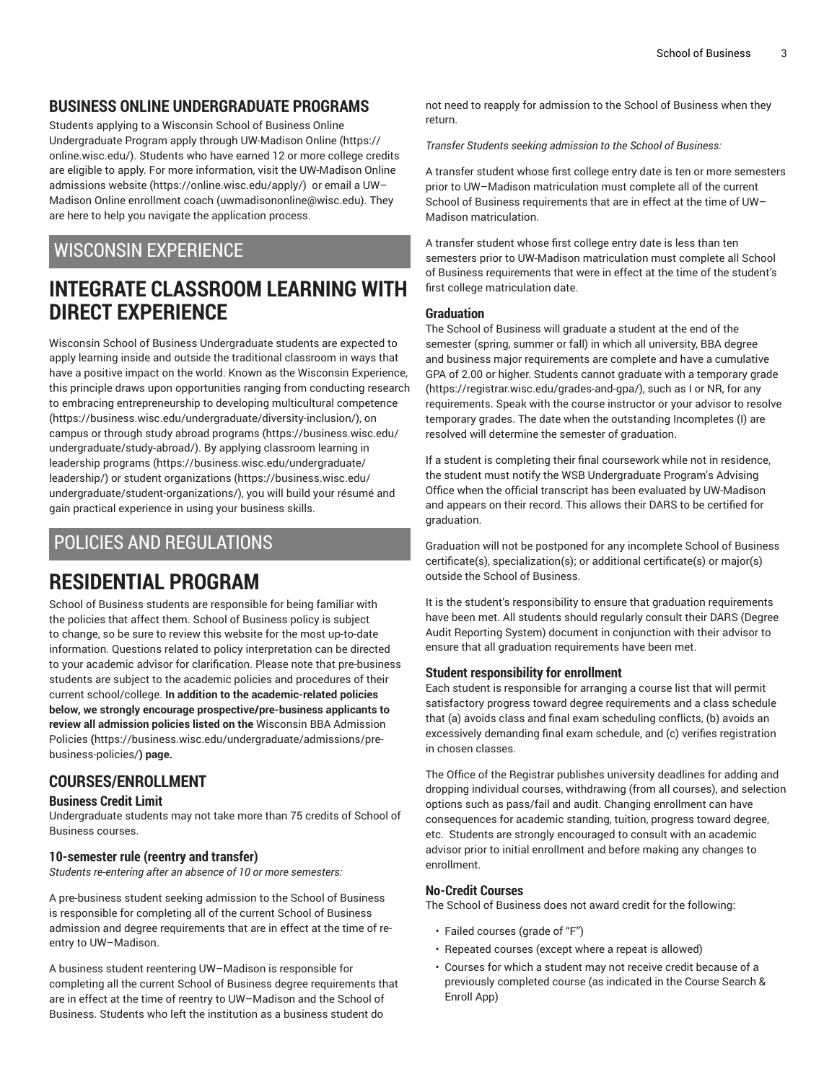## **BUSINESS ONLINE UNDERGRADUATE PROGRAMS**

Students applying to a Wisconsin School of Business Online Undergraduate Program apply through [UW-Madison](https://online.wisc.edu/) Online [\(https://](https://online.wisc.edu/) [online.wisc.edu/](https://online.wisc.edu/)). Students who have earned 12 or more college credits are eligible to apply. For more information, visit the [UW-Madison](https://online.wisc.edu/apply/) Online [admissions website \(https://online.wisc.edu/apply/\)](https://online.wisc.edu/apply/) or [email](mailto:uwmadisononline@wisc.edu) a UW– Madison Online [enrollment](mailto:uwmadisononline@wisc.edu) coach [\(uwmadisononline@wisc.edu\)](uwmadisononline@wisc.edu). They are here to help you navigate the application process.

## WISCONSIN EXPERIENCE

# **INTEGRATE CLASSROOM LEARNING WITH DIRECT EXPERIENCE**

Wisconsin School of Business Undergraduate students are expected to apply learning inside and outside the traditional classroom in ways that have a positive impact on the world. Known as the Wisconsin Experience, this principle draws upon opportunities ranging from conducting research to embracing entrepreneurship to developing [multicultural competence](https://business.wisc.edu/undergraduate/diversity-inclusion/) (<https://business.wisc.edu/undergraduate/diversity-inclusion/>), on campus or through study abroad [programs](https://business.wisc.edu/undergraduate/study-abroad/) ([https://business.wisc.edu/](https://business.wisc.edu/undergraduate/study-abroad/) [undergraduate/study-abroad/\)](https://business.wisc.edu/undergraduate/study-abroad/). By applying classroom learning in [leadership](https://business.wisc.edu/undergraduate/leadership/) programs ([https://business.wisc.edu/undergraduate/](https://business.wisc.edu/undergraduate/leadership/) [leadership/\)](https://business.wisc.edu/undergraduate/leadership/) or student [organizations](https://business.wisc.edu/undergraduate/student-organizations/) ([https://business.wisc.edu/](https://business.wisc.edu/undergraduate/student-organizations/) [undergraduate/student-organizations/](https://business.wisc.edu/undergraduate/student-organizations/)), you will build your résumé and gain practical experience in using your business skills.

## POLICIES AND REGULATIONS

## **RESIDENTIAL PROGRAM**

School of Business students are responsible for being familiar with the policies that affect them. School of Business policy is subject to change, so be sure to review this website for the most up-to-date information. Questions related to policy interpretation can be directed to your academic advisor for clarification. Please note that pre-business students are subject to the academic policies and procedures of their current school/college. **In addition to the academic-related policies below, we strongly encourage prospective/pre-business applicants to review all admission policies listed on the** [Wisconsin BBA Admission](https://business.wisc.edu/undergraduate/admissions/pre-business-policies/) [Policies](https://business.wisc.edu/undergraduate/admissions/pre-business-policies/) **(**[https://business.wisc.edu/undergraduate/admissions/pre](https://business.wisc.edu/undergraduate/admissions/pre-business-policies/)[business-policies/](https://business.wisc.edu/undergraduate/admissions/pre-business-policies/)**) page.**

## **COURSES/ENROLLMENT**

#### **Business Credit Limit**

Undergraduate students may not take more than 75 credits of School of Business courses.

#### **10-semester rule (reentry and transfer)**

*Students re-entering after an absence of 10 or more semesters:*

A pre-business student seeking admission to the School of Business is responsible for completing all of the current School of Business admission and degree requirements that are in effect at the time of reentry to UW–Madison.

A business student reentering UW–Madison is responsible for completing all the current School of Business degree requirements that are in effect at the time of reentry to UW–Madison and the School of Business. Students who left the institution as a business student do

not need to reapply for admission to the School of Business when they return.

*Transfer Students seeking admission to the School of Business:*

A transfer student whose first college entry date is ten or more semesters prior to UW–Madison matriculation must complete all of the current School of Business requirements that are in effect at the time of UW– Madison matriculation.

A transfer student whose first college entry date is less than ten semesters prior to UW-Madison matriculation must complete all School of Business requirements that were in effect at the time of the student's first college matriculation date.

#### **Graduation**

The School of Business will graduate a student at the end of the semester (spring, summer or fall) in which all university, BBA degree and business major requirements are complete and have a cumulative GPA of 2.00 or higher. Students cannot graduate with a [temporary](https://registrar.wisc.edu/grades-and-gpa/) grade [\(https://registrar.wisc.edu/grades-and-gpa/\)](https://registrar.wisc.edu/grades-and-gpa/), such as I or NR, for any requirements. Speak with the course instructor or your advisor to resolve temporary grades. The date when the outstanding Incompletes (I) are resolved will determine the semester of graduation.

If a student is completing their final coursework while not in residence, the student must notify the WSB Undergraduate Program's Advising Office when the official transcript has been evaluated by UW-Madison and appears on their record. This allows their DARS to be certified for graduation.

Graduation will not be postponed for any incomplete School of Business certificate(s), specialization(s); or additional certificate(s) or major(s) outside the School of Business.

It is the student's responsibility to ensure that graduation requirements have been met. All students should regularly consult their DARS (Degree Audit Reporting System) document in conjunction with their advisor to ensure that all graduation requirements have been met.

#### **Student responsibility for enrollment**

Each student is responsible for arranging a course list that will permit satisfactory progress toward degree requirements and a class schedule that (a) avoids class and final exam scheduling conflicts, (b) avoids an excessively demanding final exam schedule, and (c) verifies registration in chosen classes.

The Office of the Registrar publishes university deadlines for adding and dropping individual courses, withdrawing (from all courses), and selection options such as pass/fail and audit. Changing enrollment can have consequences for academic standing, tuition, progress toward degree, etc. Students are strongly encouraged to consult with an academic advisor prior to initial enrollment and before making any changes to enrollment.

#### **No-Credit Courses**

The School of Business does not award credit for the following:

- Failed courses (grade of "F")
- Repeated courses (except where a repeat is allowed)
- Courses for which a student may not receive credit because of a previously completed course (as indicated in the Course Search & Enroll App)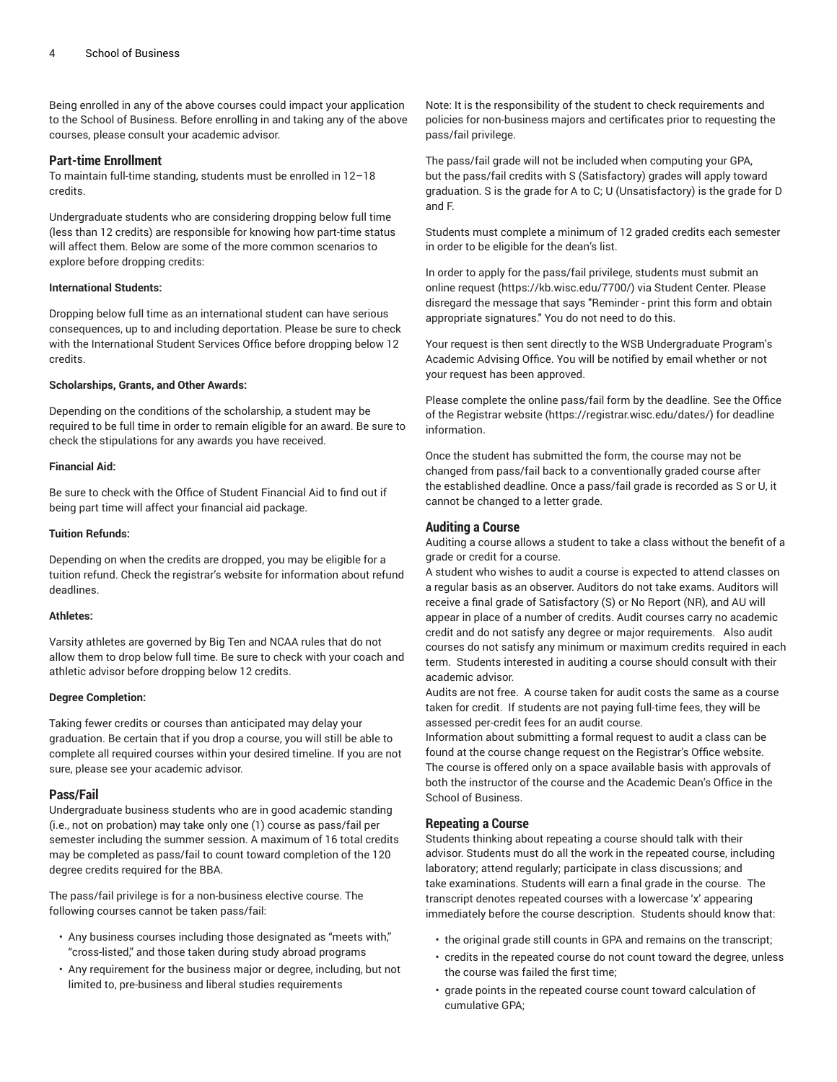Being enrolled in any of the above courses could impact your application to the School of Business. Before enrolling in and taking any of the above courses, please consult your academic advisor.

#### **Part-time Enrollment**

To maintain full-time standing, students must be enrolled in 12–18 credits.

Undergraduate students who are considering dropping below full time (less than 12 credits) are responsible for knowing how part-time status will affect them. Below are some of the more common scenarios to explore before dropping credits:

#### **International Students:**

Dropping below full time as an international student can have serious consequences, up to and including deportation. Please be sure to check with the International Student Services Office before dropping below 12 credits.

#### **Scholarships, Grants, and Other Awards:**

Depending on the conditions of the scholarship, a student may be required to be full time in order to remain eligible for an award. Be sure to check the stipulations for any awards you have received.

#### **Financial Aid:**

Be sure to check with the Office of Student Financial Aid to find out if being part time will affect your financial aid package.

#### **Tuition Refunds:**

Depending on when the credits are dropped, you may be eligible for a tuition refund. Check the registrar's website for information about refund deadlines.

#### **Athletes:**

Varsity athletes are governed by Big Ten and NCAA rules that do not allow them to drop below full time. Be sure to check with your coach and athletic advisor before dropping below 12 credits.

#### **Degree Completion:**

Taking fewer credits or courses than anticipated may delay your graduation. Be certain that if you drop a course, you will still be able to complete all required courses within your desired timeline. If you are not sure, please see your academic advisor.

#### **Pass/Fail**

Undergraduate business students who are in good academic standing (i.e., not on probation) may take only one (1) course as pass/fail per semester including the summer session. A maximum of 16 total credits may be completed as pass/fail to count toward completion of the 120 degree credits required for the BBA.

The pass/fail privilege is for a non-business elective course. The following courses cannot be taken pass/fail:

- Any business courses including those designated as "meets with," "cross-listed," and those taken during study abroad programs
- Any requirement for the business major or degree, including, but not limited to, pre-business and liberal studies requirements

Note: It is the responsibility of the student to check requirements and policies for non-business majors and certificates prior to requesting the pass/fail privilege.

The pass/fail grade will not be included when computing your GPA, but the pass/fail credits with S (Satisfactory) grades will apply toward graduation. S is the grade for A to C; U (Unsatisfactory) is the grade for D and F.

Students must complete a minimum of 12 graded credits each semester in order to be eligible for the dean's list.

In order to apply for the pass/fail privilege, students must submit an online [request](https://kb.wisc.edu/7700/) [\(https://kb.wisc.edu/7700/\)](https://kb.wisc.edu/7700/) via Student Center. Please disregard the message that says "Reminder - print this form and obtain appropriate signatures." You do not need to do this.

Your request is then sent directly to the WSB Undergraduate Program's Academic Advising Office. You will be notified by email whether or not your request has been approved.

Please complete the online pass/fail form by the deadline. See the [Office](https://registrar.wisc.edu/dates/) [of the Registrar website](https://registrar.wisc.edu/dates/) (<https://registrar.wisc.edu/dates/>) for deadline information.

Once the student has submitted the form, the course may not be changed from pass/fail back to a conventionally graded course after the established deadline. Once a pass/fail grade is recorded as S or U, it cannot be changed to a letter grade.

#### **Auditing a Course**

Auditing a course allows a student to take a class without the benefit of a grade or credit for a course.

A student who wishes to audit a course is expected to attend classes on a regular basis as an observer. Auditors do not take exams. Auditors will receive a final grade of Satisfactory (S) or No Report (NR), and AU will appear in place of a number of credits. Audit courses carry no academic credit and do not satisfy any degree or major requirements. Also audit courses do not satisfy any minimum or maximum credits required in each term. Students interested in auditing a course should consult with their academic advisor.

Audits are not free. A course taken for audit costs the same as a course taken for credit. If students are not paying full-time fees, they will be assessed per-credit fees for an audit course.

Information about submitting a formal request to audit a class can be found at the course change request on the Registrar's Office website. The course is offered only on a space available basis with approvals of both the instructor of the course and the Academic Dean's Office in the School of Business.

#### **Repeating a Course**

Students thinking about repeating a course should talk with their advisor. Students must do all the work in the repeated course, including laboratory; attend regularly; participate in class discussions; and take examinations. Students will earn a final grade in the course. The transcript denotes repeated courses with a lowercase 'x' appearing immediately before the course description. Students should know that:

- the original grade still counts in GPA and remains on the transcript;
- credits in the repeated course do not count toward the degree, unless the course was failed the first time;
- grade points in the repeated course count toward calculation of cumulative GPA;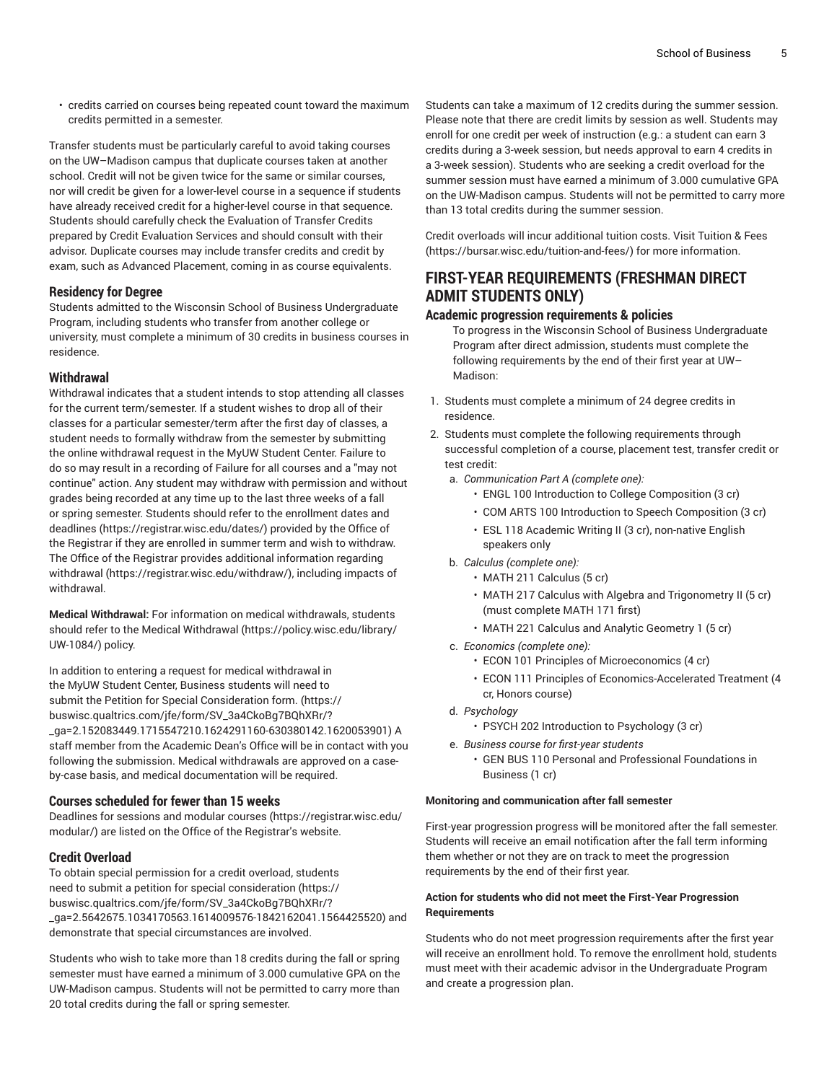• credits carried on courses being repeated count toward the maximum credits permitted in a semester.

Transfer students must be particularly careful to avoid taking courses on the UW–Madison campus that duplicate courses taken at another school. Credit will not be given twice for the same or similar courses, nor will credit be given for a lower-level course in a sequence if students have already received credit for a higher-level course in that sequence. Students should carefully check the Evaluation of Transfer Credits prepared by Credit Evaluation Services and should consult with their advisor. Duplicate courses may include transfer credits and credit by exam, such as Advanced Placement, coming in as course equivalents.

#### **Residency for Degree**

Students admitted to the Wisconsin School of Business Undergraduate Program, including students who transfer from another college or university, must complete a minimum of 30 credits in business courses in residence.

#### **Withdrawal**

Withdrawal indicates that a student intends to stop attending all classes for the current term/semester. If a student wishes to drop all of their classes for a particular semester/term after the first day of classes, a student needs to formally withdraw from the semester by submitting the online withdrawal request in the MyUW Student Center. Failure to do so may result in a recording of Failure for all courses and a "may not continue" action. Any student may withdraw with permission and without grades being recorded at any time up to the last three weeks of a fall or spring semester. Students should refer to the [enrollment](https://registrar.wisc.edu/dates/) dates and [deadlines \(https://registrar.wisc.edu/dates/](https://registrar.wisc.edu/dates/)) provided by the Office of the Registrar if they are enrolled in summer term and wish to withdraw. The Office of the Registrar provides additional information regarding [withdrawal](https://registrar.wisc.edu/withdraw/) [\(https://registrar.wisc.edu/withdraw/\)](https://registrar.wisc.edu/withdraw/), including impacts of withdrawal.

**Medical Withdrawal:** For information on medical withdrawals, students should refer to the [Medical Withdrawal \(https://policy.wisc.edu/library/](https://policy.wisc.edu/library/UW-1084/) [UW-1084/\)](https://policy.wisc.edu/library/UW-1084/) policy.

In addition to entering a request for medical withdrawal in the MyUW Student Center, Business students will need to submit the Petition for Special [Consideration](https://buswisc.qualtrics.com/jfe/form/SV_3a4CkoBg7BQhXRr/?_ga=2.152083449.1715547210.1624291160-630380142.1620053901) form. ([https://](https://buswisc.qualtrics.com/jfe/form/SV_3a4CkoBg7BQhXRr/?_ga=2.152083449.1715547210.1624291160-630380142.1620053901) [buswisc.qualtrics.com/jfe/form/SV\\_3a4CkoBg7BQhXRr/?](https://buswisc.qualtrics.com/jfe/form/SV_3a4CkoBg7BQhXRr/?_ga=2.152083449.1715547210.1624291160-630380142.1620053901) [\\_ga=2.152083449.1715547210.1624291160-630380142.1620053901](https://buswisc.qualtrics.com/jfe/form/SV_3a4CkoBg7BQhXRr/?_ga=2.152083449.1715547210.1624291160-630380142.1620053901)) A staff member from the Academic Dean's Office will be in contact with you following the submission. Medical withdrawals are approved on a caseby-case basis, and medical documentation will be required.

#### **Courses scheduled for fewer than 15 weeks**

Deadlines for sessions and [modular courses](https://registrar.wisc.edu/modular/) ([https://registrar.wisc.edu/](https://registrar.wisc.edu/modular/) [modular/](https://registrar.wisc.edu/modular/)) are listed on the Office of the Registrar's website.

#### **Credit Overload**

To obtain special permission for a credit overload, students need to submit a [petition for special consideration](https://buswisc.qualtrics.com/jfe/form/SV_3a4CkoBg7BQhXRr/?_ga=2.5642675.1034170563.1614009576-1842162041.1564425520) [\(https://](https://buswisc.qualtrics.com/jfe/form/SV_3a4CkoBg7BQhXRr/?_ga=2.5642675.1034170563.1614009576-1842162041.1564425520) [buswisc.qualtrics.com/jfe/form/SV\\_3a4CkoBg7BQhXRr/?](https://buswisc.qualtrics.com/jfe/form/SV_3a4CkoBg7BQhXRr/?_ga=2.5642675.1034170563.1614009576-1842162041.1564425520) [\\_ga=2.5642675.1034170563.1614009576-1842162041.1564425520\)](https://buswisc.qualtrics.com/jfe/form/SV_3a4CkoBg7BQhXRr/?_ga=2.5642675.1034170563.1614009576-1842162041.1564425520) and demonstrate that special circumstances are involved.

Students who wish to take more than 18 credits during the fall or spring semester must have earned a minimum of 3.000 cumulative GPA on the UW-Madison campus. Students will not be permitted to carry more than 20 total credits during the fall or spring semester.

Students can take a maximum of 12 credits during the summer session. Please note that there are credit limits by session as well. Students may enroll for one credit per week of instruction (e.g.: a student can earn 3 credits during a 3-week session, but needs approval to earn 4 credits in a 3-week session). Students who are seeking a credit overload for the summer session must have earned a minimum of 3.000 cumulative GPA on the UW-Madison campus. Students will not be permitted to carry more than 13 total credits during the summer session.

Credit overloads will incur additional tuition costs. Visit [Tuition](https://bursar.wisc.edu/tuition-and-fees/) & Fees [\(https://bursar.wisc.edu/tuition-and-fees/\)](https://bursar.wisc.edu/tuition-and-fees/) for more information.

### **FIRST-YEAR REQUIREMENTS (FRESHMAN DIRECT ADMIT STUDENTS ONLY)**

#### **Academic progression requirements & policies**

To progress in the Wisconsin School of Business Undergraduate Program after direct admission, students must complete the following requirements by the end of their first year at UW– Madison:

- 1. Students must complete a minimum of 24 degree credits in residence.
- 2. Students must complete the following requirements through successful completion of a course, placement test, transfer credit or test credit:
	- a. *Communication Part A (complete one):*
		- ENGL 100 Introduction to College Composition (3 cr)
		- COM ARTS 100 Introduction to Speech Composition (3 cr)
		- ESL 118 Academic Writing II (3 cr), non-native English speakers only
	- b. *Calculus (complete one):*
		- MATH 211 Calculus (5 cr)
		- MATH 217 Calculus with Algebra and Trigonometry II (5 cr) (must complete MATH 171 first)
		- MATH 221 Calculus and Analytic Geometry 1 (5 cr)
	- c. *Economics (complete one):*
		- ECON 101 Principles of Microeconomics (4 cr)
		- ECON 111 Principles of Economics-Accelerated Treatment (4 cr, Honors course)
	- d. *Psychology*
		- PSYCH 202 Introduction to Psychology (3 cr)
	- e. *Business course for first-year students*
		- GEN BUS 110 Personal and Professional Foundations in Business (1 cr)

#### **Monitoring and communication after fall semester**

First-year progression progress will be monitored after the fall semester. Students will receive an email notification after the fall term informing them whether or not they are on track to meet the progression requirements by the end of their first year.

#### **Action for students who did not meet the First-Year Progression Requirements**

Students who do not meet progression requirements after the first year will receive an enrollment hold. To remove the enrollment hold, students must meet with their academic advisor in the Undergraduate Program and create a progression plan.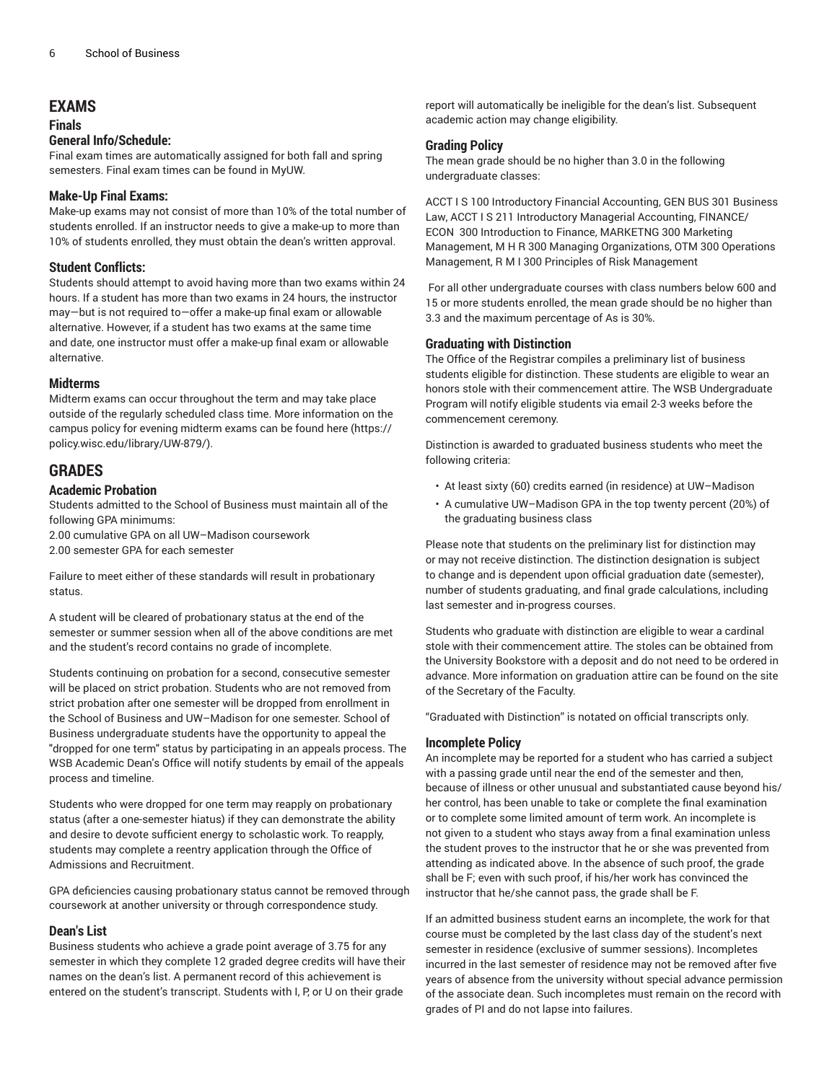### **EXAMS**

## **Finals**

#### **General Info/Schedule:**

Final exam times are automatically assigned for both fall and spring semesters. Final exam times can be found in MyUW.

#### **Make-Up Final Exams:**

Make-up exams may not consist of more than 10% of the total number of students enrolled. If an instructor needs to give a make-up to more than 10% of students enrolled, they must obtain the dean's written approval.

#### **Student Conflicts:**

Students should attempt to avoid having more than two exams within 24 hours. If a student has more than two exams in 24 hours, the instructor may—but is not required to—offer a make-up final exam or allowable alternative. However, if a student has two exams at the same time and date, one instructor must offer a make-up final exam or allowable alternative.

#### **Midterms**

Midterm exams can occur throughout the term and may take place outside of the regularly scheduled class time. More information on the campus policy for evening midterm exams can be found [here \(https://](https://policy.wisc.edu/library/UW-879/) [policy.wisc.edu/library/UW-879/](https://policy.wisc.edu/library/UW-879/)).

### **GRADES**

#### **Academic Probation**

Students admitted to the School of Business must maintain all of the following GPA minimums:

2.00 cumulative GPA on all UW–Madison coursework

2.00 semester GPA for each semester

Failure to meet either of these standards will result in probationary status.

A student will be cleared of probationary status at the end of the semester or summer session when all of the above conditions are met and the student's record contains no grade of incomplete.

Students continuing on probation for a second, consecutive semester will be placed on strict probation. Students who are not removed from strict probation after one semester will be dropped from enrollment in the School of Business and UW–Madison for one semester. School of Business undergraduate students have the opportunity to appeal the "dropped for one term" status by participating in an appeals process. The WSB Academic Dean's Office will notify students by email of the appeals process and timeline.

Students who were dropped for one term may reapply on probationary status (after a one-semester hiatus) if they can demonstrate the ability and desire to devote sufficient energy to scholastic work. To reapply, students may complete a reentry application through the Office of Admissions and Recruitment.

GPA deficiencies causing probationary status cannot be removed through coursework at another university or through correspondence study.

#### **Dean's List**

Business students who achieve a grade point average of 3.75 for any semester in which they complete 12 graded degree credits will have their names on the dean's list. A permanent record of this achievement is entered on the student's transcript. Students with I, P, or U on their grade

report will automatically be ineligible for the dean's list. Subsequent academic action may change eligibility.

#### **Grading Policy**

The mean grade should be no higher than 3.0 in the following undergraduate classes:

ACCT I S 100 Introductory Financial Accounting, GEN BUS 301 Business Law, ACCT I S 211 Introductory Managerial Accounting, FINANCE/ ECON 300 Introduction to Finance, MARKETNG 300 Marketing Management, M H R 300 Managing Organizations, OTM 300 Operations Management, R M I 300 Principles of Risk Management

For all other undergraduate courses with class numbers below 600 and 15 or more students enrolled, the mean grade should be no higher than 3.3 and the maximum percentage of As is 30%.

#### **Graduating with Distinction**

The Office of the Registrar compiles a preliminary list of business students eligible for distinction. These students are eligible to wear an honors stole with their commencement attire. The WSB Undergraduate Program will notify eligible students via email 2-3 weeks before the commencement ceremony.

Distinction is awarded to graduated business students who meet the following criteria:

- At least sixty (60) credits earned (in residence) at UW–Madison
- A cumulative UW–Madison GPA in the top twenty percent (20%) of the graduating business class

Please note that students on the preliminary list for distinction may or may not receive distinction. The distinction designation is subject to change and is dependent upon official graduation date (semester), number of students graduating, and final grade calculations, including last semester and in-progress courses.

Students who graduate with distinction are eligible to wear a cardinal stole with their commencement attire. The stoles can be obtained from the University Bookstore with a deposit and do not need to be ordered in advance. More information on graduation attire can be found on the site of the Secretary of the Faculty.

"Graduated with Distinction" is notated on official transcripts only.

#### **Incomplete Policy**

An incomplete may be reported for a student who has carried a subject with a passing grade until near the end of the semester and then, because of illness or other unusual and substantiated cause beyond his/ her control, has been unable to take or complete the final examination or to complete some limited amount of term work. An incomplete is not given to a student who stays away from a final examination unless the student proves to the instructor that he or she was prevented from attending as indicated above. In the absence of such proof, the grade shall be F; even with such proof, if his/her work has convinced the instructor that he/she cannot pass, the grade shall be F.

If an admitted business student earns an incomplete, the work for that course must be completed by the last class day of the student's next semester in residence (exclusive of summer sessions). Incompletes incurred in the last semester of residence may not be removed after five years of absence from the university without special advance permission of the associate dean. Such incompletes must remain on the record with grades of PI and do not lapse into failures.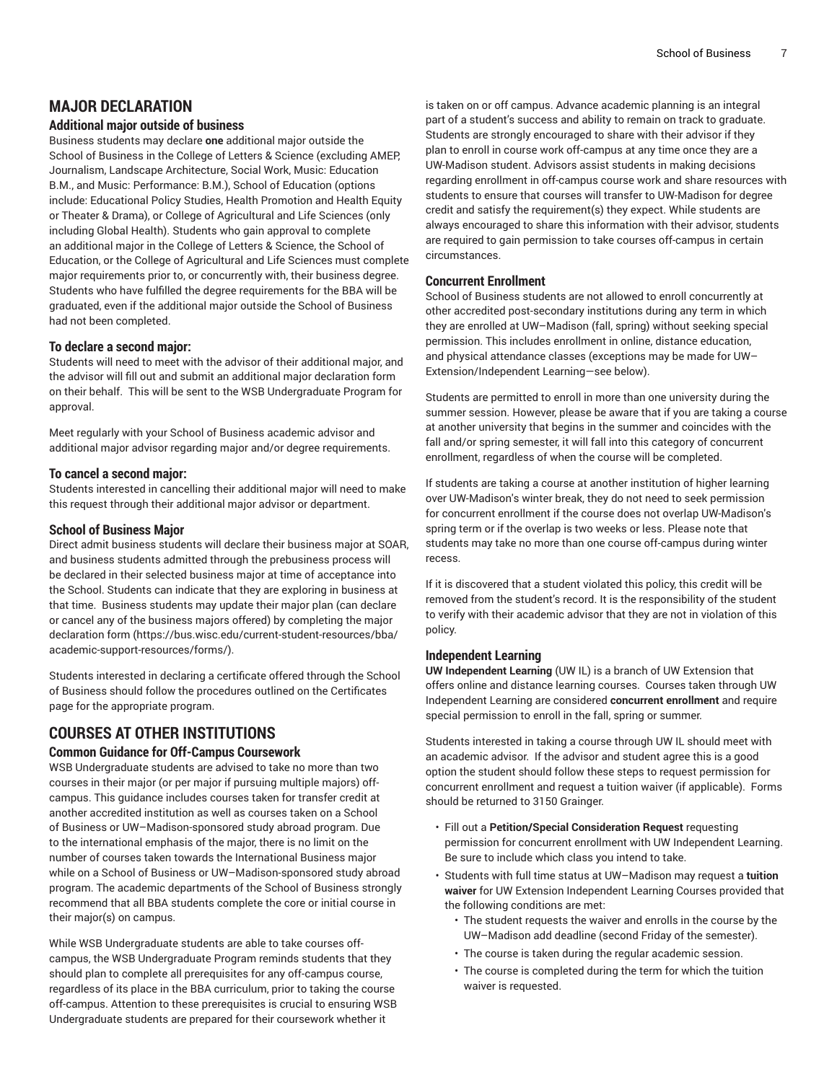### **MAJOR DECLARATION**

#### **Additional major outside of business**

Business students may declare **one** additional major outside the School of Business in the College of Letters & Science (excluding AMEP, Journalism, Landscape Architecture, Social Work, Music: Education B.M., and Music: Performance: B.M.), School of Education (options include: Educational Policy Studies, Health Promotion and Health Equity or Theater & Drama), or College of Agricultural and Life Sciences (only including Global Health). Students who gain approval to complete an additional major in the College of Letters & Science, the School of Education, or the College of Agricultural and Life Sciences must complete major requirements prior to, or concurrently with, their business degree. Students who have fulfilled the degree requirements for the BBA will be graduated, even if the additional major outside the School of Business had not been completed.

#### **To declare a second major:**

Students will need to meet with the advisor of their additional major, and the advisor will fill out and submit an additional major declaration form on their behalf. This will be sent to the WSB Undergraduate Program for approval.

Meet regularly with your School of Business academic advisor and additional major advisor regarding major and/or degree requirements.

### **To cancel a second major:**

Students interested in cancelling their additional major will need to make this request through their additional major advisor or department.

#### **School of Business Major**

Direct admit business students will declare their business major at SOAR, and business students admitted through the prebusiness process will be declared in their selected business major at time of acceptance into the School. Students can indicate that they are exploring in business at that time. Business students may update their major plan (can declare or cancel any of the business majors offered) by completing the [major](https://bus.wisc.edu/current-student-resources/bba/academic-support-resources/forms/) [declaration form](https://bus.wisc.edu/current-student-resources/bba/academic-support-resources/forms/) [\(https://bus.wisc.edu/current-student-resources/bba/](https://bus.wisc.edu/current-student-resources/bba/academic-support-resources/forms/) [academic-support-resources/forms/\)](https://bus.wisc.edu/current-student-resources/bba/academic-support-resources/forms/).

Students interested in declaring a certificate offered through the School of Business should follow the procedures outlined on the Certificates page for the appropriate program.

## **COURSES AT OTHER INSTITUTIONS**

#### **Common Guidance for Off-Campus Coursework**

WSB Undergraduate students are advised to take no more than two courses in their major (or per major if pursuing multiple majors) offcampus. This guidance includes courses taken for transfer credit at another accredited institution as well as courses taken on a School of Business or UW–Madison-sponsored study abroad program. Due to the international emphasis of the major, there is no limit on the number of courses taken towards the International Business major while on a School of Business or UW–Madison-sponsored study abroad program. The academic departments of the School of Business strongly recommend that all BBA students complete the core or initial course in their major(s) on campus.

While WSB Undergraduate students are able to take courses offcampus, the WSB Undergraduate Program reminds students that they should plan to complete all prerequisites for any off-campus course, regardless of its place in the BBA curriculum, prior to taking the course off-campus. Attention to these prerequisites is crucial to ensuring WSB Undergraduate students are prepared for their coursework whether it

is taken on or off campus. Advance academic planning is an integral part of a student's success and ability to remain on track to graduate. Students are strongly encouraged to share with their advisor if they plan to enroll in course work off-campus at any time once they are a UW-Madison student. Advisors assist students in making decisions regarding enrollment in off-campus course work and share resources with students to ensure that courses will transfer to UW-Madison for degree credit and satisfy the requirement(s) they expect. While students are always encouraged to share this information with their advisor, students are required to gain permission to take courses off-campus in certain circumstances.

#### **Concurrent Enrollment**

School of Business students are not allowed to enroll concurrently at other accredited post-secondary institutions during any term in which they are enrolled at UW–Madison (fall, spring) without seeking special permission. This includes enrollment in online, distance education, and physical attendance classes (exceptions may be made for UW– Extension/Independent Learning—see below).

Students are permitted to enroll in more than one university during the summer session. However, please be aware that if you are taking a course at another university that begins in the summer and coincides with the fall and/or spring semester, it will fall into this category of concurrent enrollment, regardless of when the course will be completed.

If students are taking a course at another institution of higher learning over UW-Madison's winter break, they do not need to seek permission for concurrent enrollment if the course does not overlap UW-Madison's spring term or if the overlap is two weeks or less. Please note that students may take no more than one course off-campus during winter recess.

If it is discovered that a student violated this policy, this credit will be removed from the student's record. It is the responsibility of the student to verify with their academic advisor that they are not in violation of this policy.

#### **Independent Learning**

**UW Independent Learning** (UW IL) is a branch of UW Extension that offers online and distance learning courses. Courses taken through UW Independent Learning are considered **concurrent enrollment** and require special permission to enroll in the fall, spring or summer.

Students interested in taking a course through UW IL should meet with an academic advisor. If the advisor and student agree this is a good option the student should follow these steps to request permission for concurrent enrollment and request a tuition waiver (if applicable). Forms should be returned to 3150 Grainger.

- Fill out a **Petition/Special Consideration Request** requesting permission for concurrent enrollment with UW Independent Learning. Be sure to include which class you intend to take.
- Students with full time status at UW–Madison may request a **tuition waiver** for UW Extension Independent Learning Courses provided that the following conditions are met:
	- The student requests the waiver and enrolls in the course by the UW–Madison add deadline (second Friday of the semester).
	- The course is taken during the regular academic session.
	- The course is completed during the term for which the tuition waiver is requested.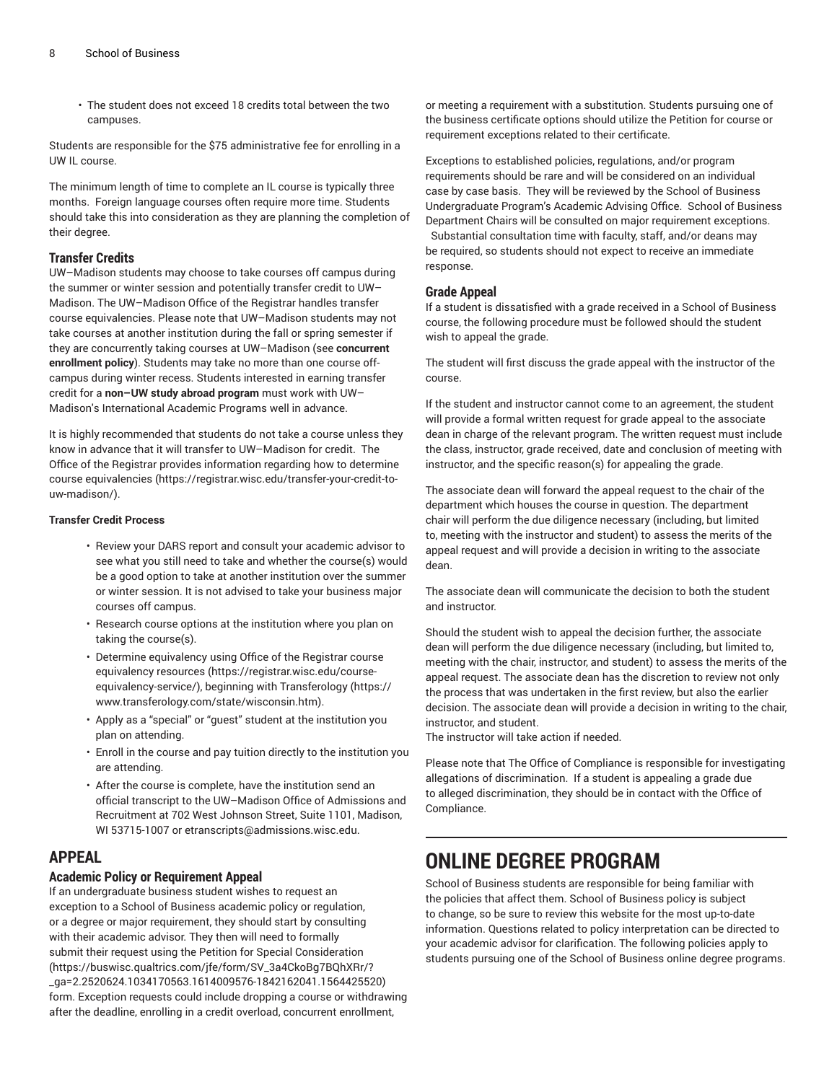• The student does not exceed 18 credits total between the two campuses.

Students are responsible for the \$75 administrative fee for enrolling in a UW IL course.

The minimum length of time to complete an IL course is typically three months. Foreign language courses often require more time. Students should take this into consideration as they are planning the completion of their degree.

#### **Transfer Credits**

UW–Madison students may choose to take courses off campus during the summer or winter session and potentially transfer credit to UW– Madison. The UW–Madison Office of the Registrar handles transfer course equivalencies. Please note that UW–Madison students may not take courses at another institution during the fall or spring semester if they are concurrently taking courses at UW–Madison (see **concurrent enrollment policy**). Students may take no more than one course offcampus during winter recess. Students interested in earning transfer credit for a **non–UW study abroad program** must work with UW– Madison's International Academic Programs well in advance.

It is highly recommended that students do not take a course unless they know in advance that it will transfer to UW–Madison for credit. The Office of the Registrar provides information regarding [how to determine](https://registrar.wisc.edu/transfer-your-credit-to-uw-madison/) course [equivalencies \(https://registrar.wisc.edu/transfer-your-credit-to](https://registrar.wisc.edu/transfer-your-credit-to-uw-madison/)[uw-madison/](https://registrar.wisc.edu/transfer-your-credit-to-uw-madison/)).

#### **Transfer Credit Process**

- Review your DARS report and consult your academic advisor to see what you still need to take and whether the course(s) would be a good option to take at another institution over the summer or winter session. It is not advised to take your business major courses off campus.
- Research course options at the institution where you plan on taking the course(s).
- Determine equivalency using [Office of the Registrar course](https://registrar.wisc.edu/course-equivalency-service/) [equivalency](https://registrar.wisc.edu/course-equivalency-service/) resources ([https://registrar.wisc.edu/course](https://registrar.wisc.edu/course-equivalency-service/)[equivalency-service/\)](https://registrar.wisc.edu/course-equivalency-service/), beginning with [Transferology](https://www.transferology.com/state/wisconsin.htm) [\(https://](https://www.transferology.com/state/wisconsin.htm) [www.transferology.com/state/wisconsin.htm\)](https://www.transferology.com/state/wisconsin.htm).
- Apply as a "special" or "guest" student at the institution you plan on attending.
- Enroll in the course and pay tuition directly to the institution you are attending.
- After the course is complete, have the institution send an official transcript to the UW–Madison Office of Admissions and Recruitment at 702 West Johnson Street, Suite 1101, Madison, WI 53715-1007 or [etranscripts@admissions.wisc.edu](mailto:etranscripts@admissions.wisc.edu).

### **APPEAL**

#### **Academic Policy or Requirement Appeal**

If an undergraduate business student wishes to request an exception to a School of Business academic policy or regulation, or a degree or major requirement, they should start by consulting with their academic advisor. They then will need to formally submit their request using the Petition for Special [Consideration](https://buswisc.qualtrics.com/jfe/form/SV_3a4CkoBg7BQhXRr/?_ga=2.2520624.1034170563.1614009576-1842162041.1564425520) ([https://buswisc.qualtrics.com/jfe/form/SV\\_3a4CkoBg7BQhXRr/?](https://buswisc.qualtrics.com/jfe/form/SV_3a4CkoBg7BQhXRr/?_ga=2.2520624.1034170563.1614009576-1842162041.1564425520) [\\_ga=2.2520624.1034170563.1614009576-1842162041.1564425520\)](https://buswisc.qualtrics.com/jfe/form/SV_3a4CkoBg7BQhXRr/?_ga=2.2520624.1034170563.1614009576-1842162041.1564425520) form. Exception requests could include dropping a course or withdrawing after the deadline, enrolling in a credit overload, concurrent enrollment,

or meeting a requirement with a substitution. Students pursuing one of the business certificate options should utilize the Petition for course or requirement exceptions related to their certificate.

Exceptions to established policies, regulations, and/or program requirements should be rare and will be considered on an individual case by case basis. They will be reviewed by the School of Business Undergraduate Program's Academic Advising Office. School of Business Department Chairs will be consulted on major requirement exceptions. Substantial consultation time with faculty, staff, and/or deans may be required, so students should not expect to receive an immediate response.

#### **Grade Appeal**

If a student is dissatisfied with a grade received in a School of Business course, the following procedure must be followed should the student wish to appeal the grade.

The student will first discuss the grade appeal with the instructor of the course.

If the student and instructor cannot come to an agreement, the student will provide a formal written request for grade appeal to the associate dean in charge of the relevant program. The written request must include the class, instructor, grade received, date and conclusion of meeting with instructor, and the specific reason(s) for appealing the grade.

The associate dean will forward the appeal request to the chair of the department which houses the course in question. The department chair will perform the due diligence necessary (including, but limited to, meeting with the instructor and student) to assess the merits of the appeal request and will provide a decision in writing to the associate dean.

The associate dean will communicate the decision to both the student and instructor.

Should the student wish to appeal the decision further, the associate dean will perform the due diligence necessary (including, but limited to, meeting with the chair, instructor, and student) to assess the merits of the appeal request. The associate dean has the discretion to review not only the process that was undertaken in the first review, but also the earlier decision. The associate dean will provide a decision in writing to the chair, instructor, and student.

The instructor will take action if needed.

Please note that The Office of Compliance is responsible for investigating allegations of discrimination. If a student is appealing a grade due to alleged discrimination, they should be in contact with the Office of Compliance.

# **ONLINE DEGREE PROGRAM**

School of Business students are responsible for being familiar with the policies that affect them. School of Business policy is subject to change, so be sure to review this website for the most up-to-date information. Questions related to policy interpretation can be directed to your academic advisor for clarification. The following policies apply to students pursuing one of the School of Business online degree programs.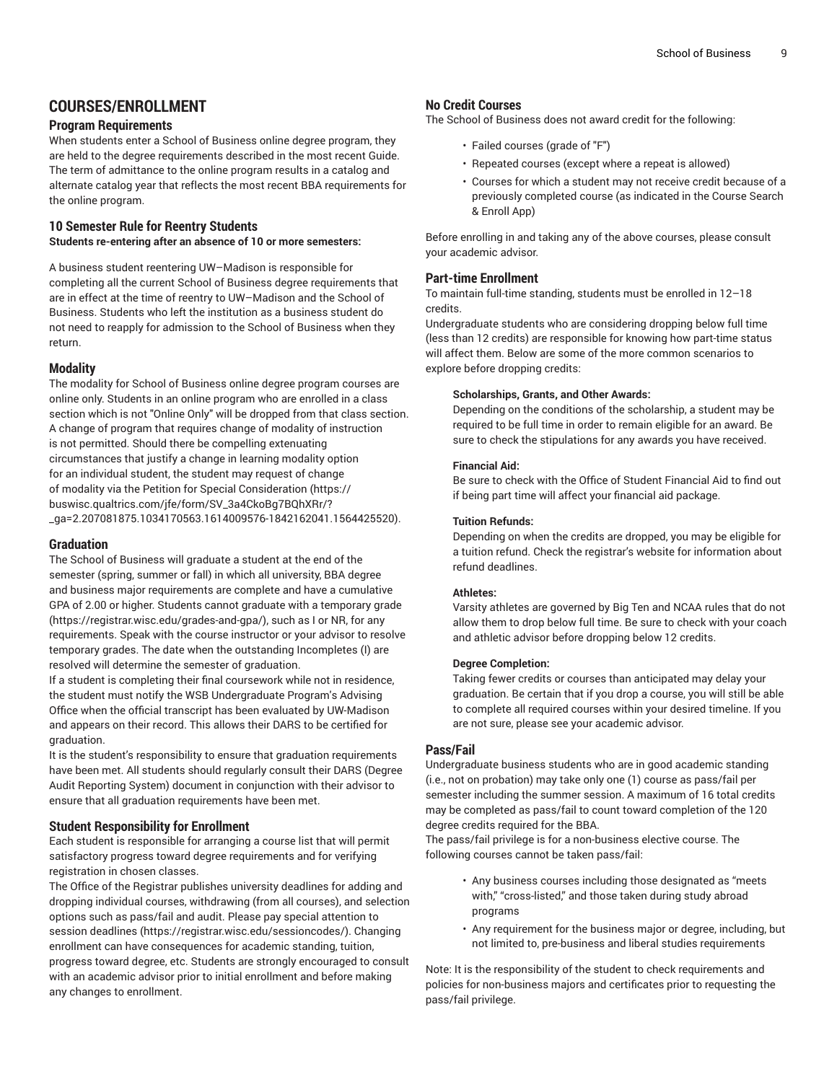## **COURSES/ENROLLMENT**

#### **Program Requirements**

When students enter a School of Business online degree program, they are held to the degree requirements described in the most recent Guide. The term of admittance to the online program results in a catalog and alternate catalog year that reflects the most recent BBA requirements for the online program.

#### **10 Semester Rule for Reentry Students**

**Students re-entering after an absence of 10 or more semesters:**

A business student reentering UW–Madison is responsible for completing all the current School of Business degree requirements that are in effect at the time of reentry to UW–Madison and the School of Business. Students who left the institution as a business student do not need to reapply for admission to the School of Business when they return.

#### **Modality**

The modality for School of Business online degree program courses are online only. Students in an online program who are enrolled in a class section which is not "Online Only" will be dropped from that class section. A change of program that requires change of modality of instruction is not permitted. Should there be compelling extenuating circumstances that justify a change in learning modality option for an individual student, the student may request of change of modality via the Petition for Special [Consideration \(https://](https://buswisc.qualtrics.com/jfe/form/SV_3a4CkoBg7BQhXRr/?_ga=2.207081875.1034170563.1614009576-1842162041.1564425520) [buswisc.qualtrics.com/jfe/form/SV\\_3a4CkoBg7BQhXRr/?](https://buswisc.qualtrics.com/jfe/form/SV_3a4CkoBg7BQhXRr/?_ga=2.207081875.1034170563.1614009576-1842162041.1564425520) [\\_ga=2.207081875.1034170563.1614009576-1842162041.1564425520\)](https://buswisc.qualtrics.com/jfe/form/SV_3a4CkoBg7BQhXRr/?_ga=2.207081875.1034170563.1614009576-1842162041.1564425520).

#### **Graduation**

The School of Business will graduate a student at the end of the semester (spring, summer or fall) in which all university, BBA degree and business major requirements are complete and have a cumulative GPA of 2.00 or higher. Students cannot graduate with a [temporary](https://registrar.wisc.edu/grades-and-gpa/) grade (<https://registrar.wisc.edu/grades-and-gpa/>), such as I or NR, for any requirements. Speak with the course instructor or your advisor to resolve temporary grades. The date when the outstanding Incompletes (I) are resolved will determine the semester of graduation.

If a student is completing their final coursework while not in residence, the student must notify the WSB Undergraduate Program's Advising Office when the official transcript has been evaluated by UW-Madison and appears on their record. This allows their DARS to be certified for graduation.

It is the student's responsibility to ensure that graduation requirements have been met. All students should regularly consult their DARS (Degree Audit Reporting System) document in conjunction with their advisor to ensure that all graduation requirements have been met.

#### **Student Responsibility for Enrollment**

Each student is responsible for arranging a course list that will permit satisfactory progress toward degree requirements and for verifying registration in chosen classes.

The Office of the Registrar publishes university deadlines for adding and dropping individual courses, withdrawing (from all courses), and selection options such as pass/fail and audit. Please pay special attention to [session deadlines](https://registrar.wisc.edu/sessioncodes/) [\(https://registrar.wisc.edu/sessioncodes/](https://registrar.wisc.edu/sessioncodes/)). Changing enrollment can have consequences for academic standing, tuition, progress toward degree, etc. Students are strongly encouraged to consult with an academic advisor prior to initial enrollment and before making any changes to enrollment.

#### **No Credit Courses**

The School of Business does not award credit for the following:

- Failed courses (grade of "F")
- Repeated courses (except where a repeat is allowed)
- Courses for which a student may not receive credit because of a previously completed course (as indicated in the Course Search & Enroll App)

Before enrolling in and taking any of the above courses, please consult your academic advisor.

#### **Part-time Enrollment**

To maintain full-time standing, students must be enrolled in 12–18 credits.

Undergraduate students who are considering dropping below full time (less than 12 credits) are responsible for knowing how part-time status will affect them. Below are some of the more common scenarios to explore before dropping credits:

#### **Scholarships, Grants, and Other Awards:**

Depending on the conditions of the scholarship, a student may be required to be full time in order to remain eligible for an award. Be sure to check the stipulations for any awards you have received.

#### **Financial Aid:**

Be sure to check with the Office of Student Financial Aid to find out if being part time will affect your financial aid package.

#### **Tuition Refunds:**

Depending on when the credits are dropped, you may be eligible for a tuition refund. Check the registrar's website for information about refund deadlines.

#### **Athletes:**

Varsity athletes are governed by Big Ten and NCAA rules that do not allow them to drop below full time. Be sure to check with your coach and athletic advisor before dropping below 12 credits.

#### **Degree Completion:**

Taking fewer credits or courses than anticipated may delay your graduation. Be certain that if you drop a course, you will still be able to complete all required courses within your desired timeline. If you are not sure, please see your academic advisor.

#### **Pass/Fail**

Undergraduate business students who are in good academic standing (i.e., not on probation) may take only one (1) course as pass/fail per semester including the summer session. A maximum of 16 total credits may be completed as pass/fail to count toward completion of the 120 degree credits required for the BBA.

The pass/fail privilege is for a non-business elective course. The following courses cannot be taken pass/fail:

- Any business courses including those designated as "meets with," "cross-listed," and those taken during study abroad programs
- Any requirement for the business major or degree, including, but not limited to, pre-business and liberal studies requirements

Note: It is the responsibility of the student to check requirements and policies for non-business majors and certificates prior to requesting the pass/fail privilege.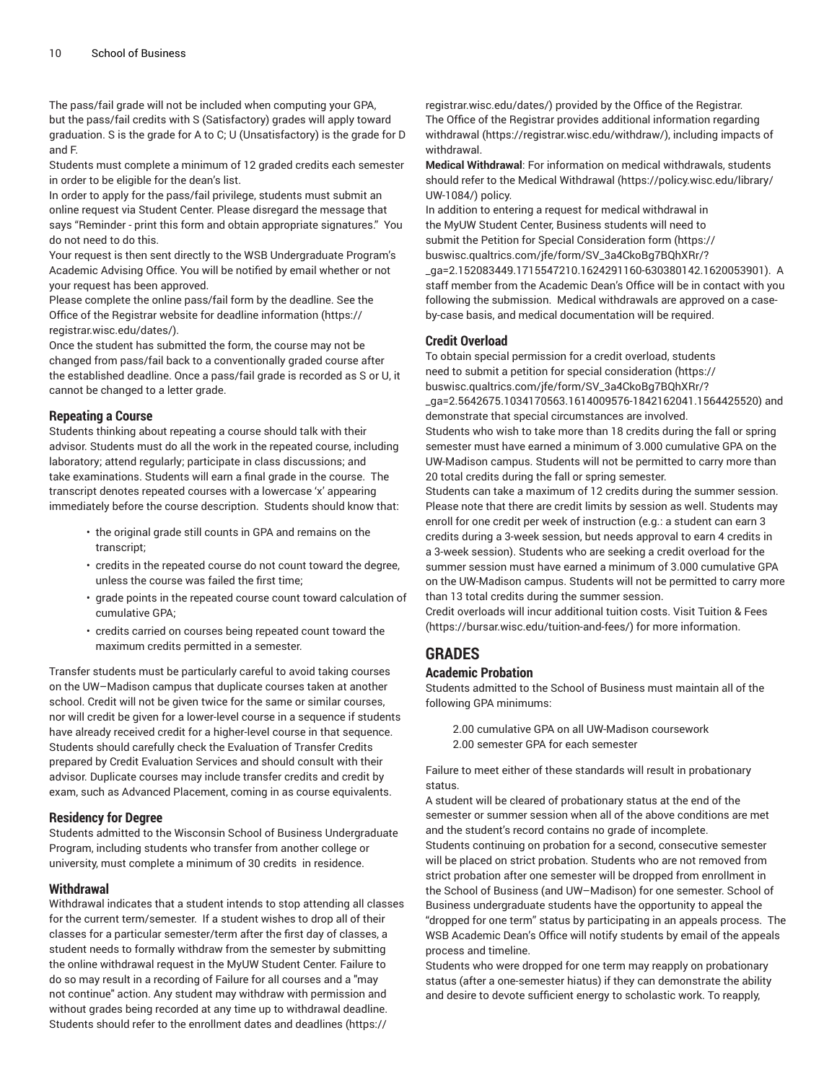The pass/fail grade will not be included when computing your GPA, but the pass/fail credits with S (Satisfactory) grades will apply toward graduation. S is the grade for A to C; U (Unsatisfactory) is the grade for D and F.

Students must complete a minimum of 12 graded credits each semester in order to be eligible for the dean's list.

In order to apply for the pass/fail privilege, students must submit an online request via Student Center. Please disregard the message that says "Reminder - print this form and obtain appropriate signatures." You do not need to do this.

Your request is then sent directly to the WSB Undergraduate Program's Academic Advising Office. You will be notified by email whether or not your request has been approved.

Please complete the online pass/fail form by the deadline. See the Office of the Registrar [website for deadline information](https://registrar.wisc.edu/dates/) ([https://](https://registrar.wisc.edu/dates/) [registrar.wisc.edu/dates/](https://registrar.wisc.edu/dates/)).

Once the student has submitted the form, the course may not be changed from pass/fail back to a conventionally graded course after the established deadline. Once a pass/fail grade is recorded as S or U, it cannot be changed to a letter grade.

#### **Repeating a Course**

Students thinking about repeating a course should talk with their advisor. Students must do all the work in the repeated course, including laboratory; attend regularly; participate in class discussions; and take examinations. Students will earn a final grade in the course. The transcript denotes repeated courses with a lowercase 'x' appearing immediately before the course description. Students should know that:

- the original grade still counts in GPA and remains on the transcript;
- credits in the repeated course do not count toward the degree, unless the course was failed the first time;
- grade points in the repeated course count toward calculation of cumulative GPA;
- credits carried on courses being repeated count toward the maximum credits permitted in a semester.

Transfer students must be particularly careful to avoid taking courses on the UW–Madison campus that duplicate courses taken at another school. Credit will not be given twice for the same or similar courses, nor will credit be given for a lower-level course in a sequence if students have already received credit for a higher-level course in that sequence. Students should carefully check the Evaluation of Transfer Credits prepared by Credit Evaluation Services and should consult with their advisor. Duplicate courses may include transfer credits and credit by exam, such as Advanced Placement, coming in as course equivalents.

#### **Residency for Degree**

Students admitted to the Wisconsin School of Business Undergraduate Program, including students who transfer from another college or university, must complete a minimum of 30 credits in residence.

#### **Withdrawal**

Withdrawal indicates that a student intends to stop attending all classes for the current term/semester. If a student wishes to drop all of their classes for a particular semester/term after the first day of classes, a student needs to formally withdraw from the semester by submitting the online withdrawal request in the MyUW Student Center. Failure to do so may result in a recording of Failure for all courses and a "may not continue" action. Any student may withdraw with permission and without grades being recorded at any time up to withdrawal deadline. Students should refer to the [enrollment](https://registrar.wisc.edu/dates/) dates and deadlines ([https://](https://registrar.wisc.edu/dates/)

[registrar.wisc.edu/dates/\)](https://registrar.wisc.edu/dates/) provided by the Office of the Registrar. The Office of the Registrar provides additional information regarding [withdrawal](https://registrar.wisc.edu/withdraw/) (<https://registrar.wisc.edu/withdraw/>), including impacts of withdrawal.

**Medical Withdrawal**: For information on medical withdrawals, students should refer to the [Medical Withdrawal](https://policy.wisc.edu/library/UW-1084/) ([https://policy.wisc.edu/library/](https://policy.wisc.edu/library/UW-1084/) [UW-1084/](https://policy.wisc.edu/library/UW-1084/)) policy.

In addition to entering a request for medical withdrawal in the MyUW Student Center, Business students will need to submit the Petition for Special [Consideration](https://buswisc.qualtrics.com/jfe/form/SV_3a4CkoBg7BQhXRr/?_ga=2.152083449.1715547210.1624291160-630380142.1620053901) form ([https://](https://buswisc.qualtrics.com/jfe/form/SV_3a4CkoBg7BQhXRr/?_ga=2.152083449.1715547210.1624291160-630380142.1620053901) [buswisc.qualtrics.com/jfe/form/SV\\_3a4CkoBg7BQhXRr/?](https://buswisc.qualtrics.com/jfe/form/SV_3a4CkoBg7BQhXRr/?_ga=2.152083449.1715547210.1624291160-630380142.1620053901) [\\_ga=2.152083449.1715547210.1624291160-630380142.1620053901\)](https://buswisc.qualtrics.com/jfe/form/SV_3a4CkoBg7BQhXRr/?_ga=2.152083449.1715547210.1624291160-630380142.1620053901). A staff member from the Academic Dean's Office will be in contact with you following the submission. Medical withdrawals are approved on a caseby-case basis, and medical documentation will be required.

#### **Credit Overload**

To obtain special permission for a credit overload, students need to submit a [petition for special consideration \(https://](https://buswisc.qualtrics.com/jfe/form/SV_3a4CkoBg7BQhXRr/?_ga=2.5642675.1034170563.1614009576-1842162041.1564425520) [buswisc.qualtrics.com/jfe/form/SV\\_3a4CkoBg7BQhXRr/?](https://buswisc.qualtrics.com/jfe/form/SV_3a4CkoBg7BQhXRr/?_ga=2.5642675.1034170563.1614009576-1842162041.1564425520) [\\_ga=2.5642675.1034170563.1614009576-1842162041.1564425520](https://buswisc.qualtrics.com/jfe/form/SV_3a4CkoBg7BQhXRr/?_ga=2.5642675.1034170563.1614009576-1842162041.1564425520)) and

demonstrate that special circumstances are involved. Students who wish to take more than 18 credits during the fall or spring semester must have earned a minimum of 3.000 cumulative GPA on the UW-Madison campus. Students will not be permitted to carry more than 20 total credits during the fall or spring semester.

Students can take a maximum of 12 credits during the summer session. Please note that there are credit limits by session as well. Students may enroll for one credit per week of instruction (e.g.: a student can earn 3 credits during a 3-week session, but needs approval to earn 4 credits in a 3-week session). Students who are seeking a credit overload for the summer session must have earned a minimum of 3.000 cumulative GPA on the UW-Madison campus. Students will not be permitted to carry more than 13 total credits during the summer session.

Credit overloads will incur additional tuition costs. Visit [Tuition](https://bursar.wisc.edu/tuition-and-fees/) & Fees [\(https://bursar.wisc.edu/tuition-and-fees/\)](https://bursar.wisc.edu/tuition-and-fees/) for more information.

## **GRADES**

#### **Academic Probation**

Students admitted to the School of Business must maintain all of the following GPA minimums:

2.00 cumulative GPA on all UW-Madison coursework 2.00 semester GPA for each semester

Failure to meet either of these standards will result in probationary status.

A student will be cleared of probationary status at the end of the semester or summer session when all of the above conditions are met and the student's record contains no grade of incomplete. Students continuing on probation for a second, consecutive semester will be placed on strict probation. Students who are not removed from strict probation after one semester will be dropped from enrollment in the School of Business (and UW–Madison) for one semester. School of Business undergraduate students have the opportunity to appeal the "dropped for one term" status by participating in an appeals process. The WSB Academic Dean's Office will notify students by email of the appeals process and timeline.

Students who were dropped for one term may reapply on probationary status (after a one-semester hiatus) if they can demonstrate the ability and desire to devote sufficient energy to scholastic work. To reapply,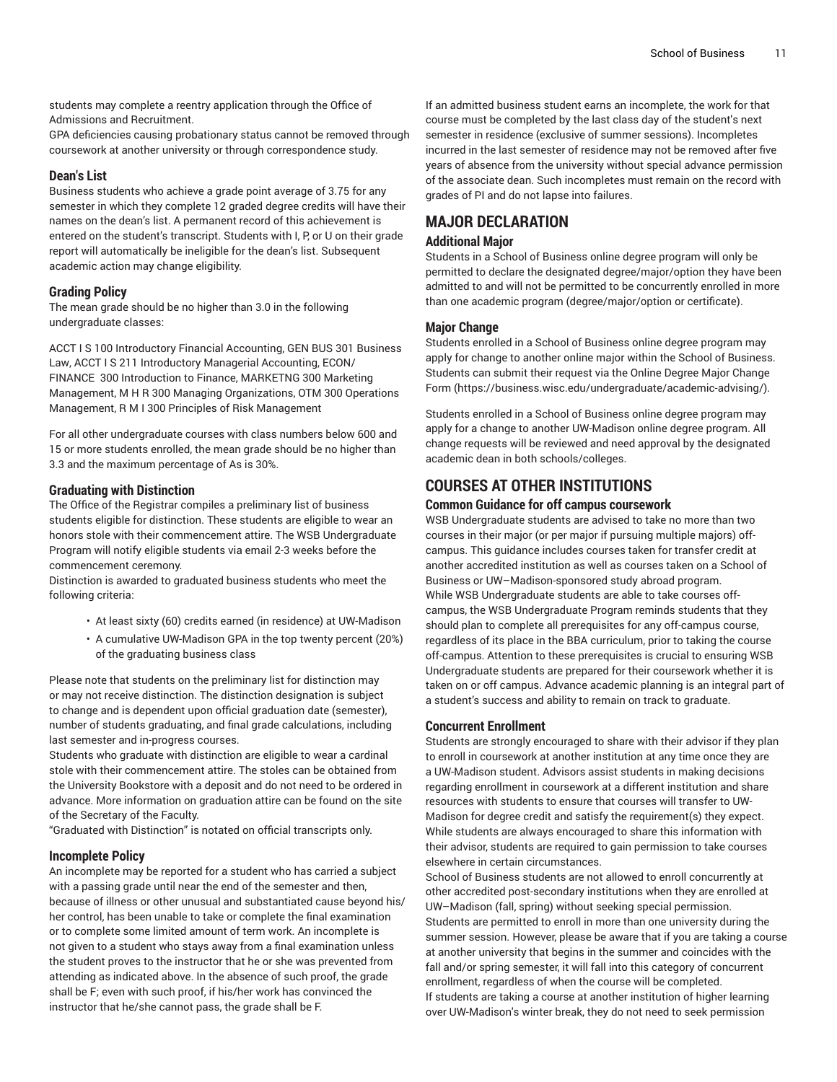students may complete a reentry application through the Office of Admissions and Recruitment.

GPA deficiencies causing probationary status cannot be removed through coursework at another university or through correspondence study.

#### **Dean's List**

Business students who achieve a grade point average of 3.75 for any semester in which they complete 12 graded degree credits will have their names on the dean's list. A permanent record of this achievement is entered on the student's transcript. Students with I, P, or U on their grade report will automatically be ineligible for the dean's list. Subsequent academic action may change eligibility.

#### **Grading Policy**

The mean grade should be no higher than 3.0 in the following undergraduate classes:

ACCT I S 100 Introductory Financial Accounting, GEN BUS 301 Business Law, ACCT I S 211 Introductory Managerial Accounting, ECON/ FINANCE 300 Introduction to Finance, MARKETNG 300 Marketing Management, M H R 300 Managing Organizations, OTM 300 Operations Management, R M I 300 Principles of Risk Management

For all other undergraduate courses with class numbers below 600 and 15 or more students enrolled, the mean grade should be no higher than 3.3 and the maximum percentage of As is 30%.

#### **Graduating with Distinction**

The Office of the Registrar compiles a preliminary list of business students eligible for distinction. These students are eligible to wear an honors stole with their commencement attire. The WSB Undergraduate Program will notify eligible students via email 2-3 weeks before the commencement ceremony.

Distinction is awarded to graduated business students who meet the following criteria:

- At least sixty (60) credits earned (in residence) at UW-Madison
- A cumulative UW-Madison GPA in the top twenty percent (20%) of the graduating business class

Please note that students on the preliminary list for distinction may or may not receive distinction. The distinction designation is subject to change and is dependent upon official graduation date (semester), number of students graduating, and final grade calculations, including last semester and in-progress courses.

Students who graduate with distinction are eligible to wear a cardinal stole with their commencement attire. The stoles can be obtained from the University Bookstore with a deposit and do not need to be ordered in advance. More information on graduation attire can be found on the site of the Secretary of the Faculty.

"Graduated with Distinction" is notated on official transcripts only.

#### **Incomplete Policy**

An incomplete may be reported for a student who has carried a subject with a passing grade until near the end of the semester and then, because of illness or other unusual and substantiated cause beyond his/ her control, has been unable to take or complete the final examination or to complete some limited amount of term work. An incomplete is not given to a student who stays away from a final examination unless the student proves to the instructor that he or she was prevented from attending as indicated above. In the absence of such proof, the grade shall be F; even with such proof, if his/her work has convinced the instructor that he/she cannot pass, the grade shall be F.

If an admitted business student earns an incomplete, the work for that course must be completed by the last class day of the student's next semester in residence (exclusive of summer sessions). Incompletes incurred in the last semester of residence may not be removed after five years of absence from the university without special advance permission of the associate dean. Such incompletes must remain on the record with grades of PI and do not lapse into failures.

## **MAJOR DECLARATION**

#### **Additional Major**

Students in a School of Business online degree program will only be permitted to declare the designated degree/major/option they have been admitted to and will not be permitted to be concurrently enrolled in more than one academic program (degree/major/option or certificate).

#### **Major Change**

Students enrolled in a School of Business online degree program may apply for change to another online major within the School of Business. Students can submit their request via the Online Degree Major [Change](https://business.wisc.edu/undergraduate/academic-advising/) [Form](https://business.wisc.edu/undergraduate/academic-advising/) ([https://business.wisc.edu/undergraduate/academic-advising/\)](https://business.wisc.edu/undergraduate/academic-advising/).

Students enrolled in a School of Business online degree program may apply for a change to another UW-Madison online degree program. All change requests will be reviewed and need approval by the designated academic dean in both schools/colleges.

## **COURSES AT OTHER INSTITUTIONS**

#### **Common Guidance for off campus coursework**

WSB Undergraduate students are advised to take no more than two courses in their major (or per major if pursuing multiple majors) offcampus. This guidance includes courses taken for transfer credit at another accredited institution as well as courses taken on a School of Business or UW–Madison-sponsored study abroad program. While WSB Undergraduate students are able to take courses offcampus, the WSB Undergraduate Program reminds students that they should plan to complete all prerequisites for any off-campus course, regardless of its place in the BBA curriculum, prior to taking the course off-campus. Attention to these prerequisites is crucial to ensuring WSB Undergraduate students are prepared for their coursework whether it is taken on or off campus. Advance academic planning is an integral part of a student's success and ability to remain on track to graduate.

#### **Concurrent Enrollment**

Students are strongly encouraged to share with their advisor if they plan to enroll in coursework at another institution at any time once they are a UW-Madison student. Advisors assist students in making decisions regarding enrollment in coursework at a different institution and share resources with students to ensure that courses will transfer to UW-Madison for degree credit and satisfy the requirement(s) they expect. While students are always encouraged to share this information with their advisor, students are required to gain permission to take courses elsewhere in certain circumstances.

School of Business students are not allowed to enroll concurrently at other accredited post-secondary institutions when they are enrolled at UW–Madison (fall, spring) without seeking special permission. Students are permitted to enroll in more than one university during the summer session. However, please be aware that if you are taking a course at another university that begins in the summer and coincides with the fall and/or spring semester, it will fall into this category of concurrent enrollment, regardless of when the course will be completed. If students are taking a course at another institution of higher learning over UW-Madison's winter break, they do not need to seek permission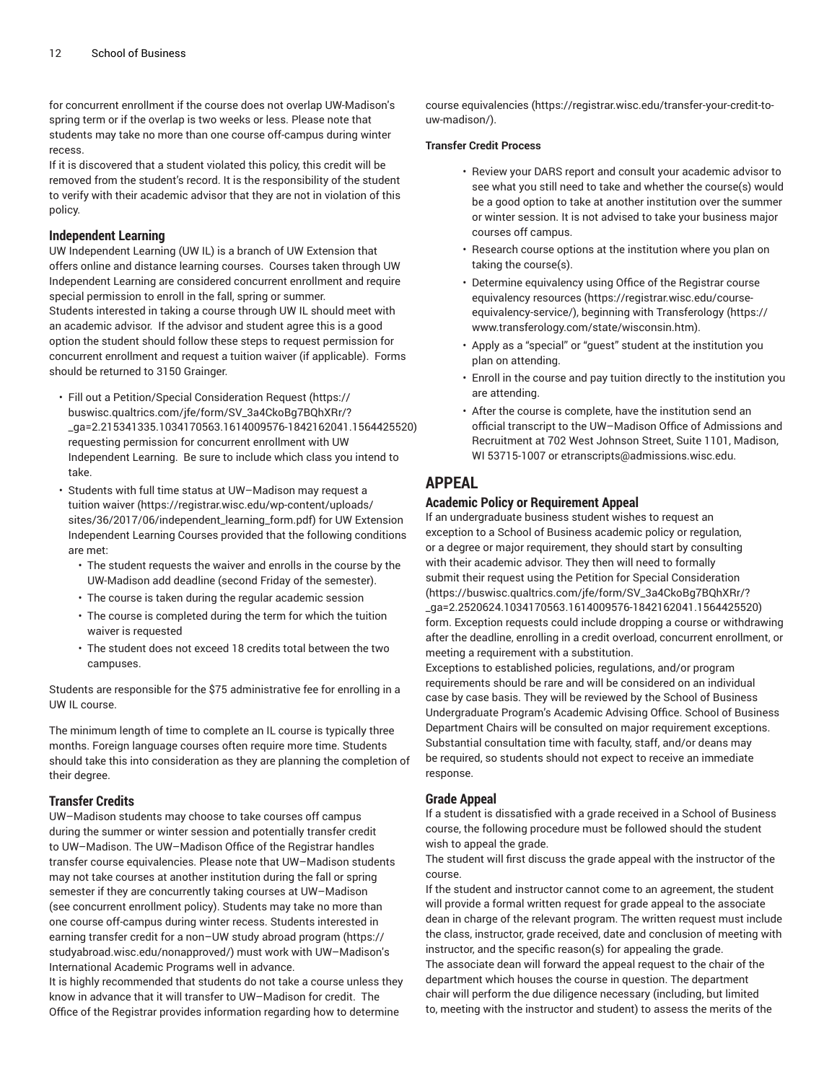for concurrent enrollment if the course does not overlap UW-Madison's spring term or if the overlap is two weeks or less. Please note that students may take no more than one course off-campus during winter recess.

If it is discovered that a student violated this policy, this credit will be removed from the student's record. It is the responsibility of the student to verify with their academic advisor that they are not in violation of this policy.

#### **Independent Learning**

UW Independent Learning (UW IL) is a branch of UW Extension that offers online and distance learning courses. Courses taken through UW Independent Learning are considered concurrent enrollment and require special permission to enroll in the fall, spring or summer. Students interested in taking a course through UW IL should meet with an academic advisor. If the advisor and student agree this is a good option the student should follow these steps to request permission for concurrent enrollment and request a tuition waiver (if applicable). Forms should be returned to 3150 Grainger.

- Fill out a [Petition/Special](https://buswisc.qualtrics.com/jfe/form/SV_3a4CkoBg7BQhXRr/?_ga=2.215341335.1034170563.1614009576-1842162041.1564425520) Consideration Request ([https://](https://buswisc.qualtrics.com/jfe/form/SV_3a4CkoBg7BQhXRr/?_ga=2.215341335.1034170563.1614009576-1842162041.1564425520) [buswisc.qualtrics.com/jfe/form/SV\\_3a4CkoBg7BQhXRr/?](https://buswisc.qualtrics.com/jfe/form/SV_3a4CkoBg7BQhXRr/?_ga=2.215341335.1034170563.1614009576-1842162041.1564425520) [\\_ga=2.215341335.1034170563.1614009576-1842162041.1564425520\)](https://buswisc.qualtrics.com/jfe/form/SV_3a4CkoBg7BQhXRr/?_ga=2.215341335.1034170563.1614009576-1842162041.1564425520) requesting permission for concurrent enrollment with UW Independent Learning. Be sure to include which class you intend to take.
- Students with full time status at UW–Madison may request a tuition [waiver \(https://registrar.wisc.edu/wp-content/uploads/](https://registrar.wisc.edu/wp-content/uploads/sites/36/2017/06/independent_learning_form.pdf) [sites/36/2017/06/independent\\_learning\\_form.pdf\)](https://registrar.wisc.edu/wp-content/uploads/sites/36/2017/06/independent_learning_form.pdf) for UW Extension Independent Learning Courses provided that the following conditions are met:
	- The student requests the waiver and enrolls in the course by the UW-Madison add deadline (second Friday of the semester).
	- The course is taken during the regular academic session
	- The course is completed during the term for which the tuition waiver is requested
	- The student does not exceed 18 credits total between the two campuses.

Students are responsible for the \$75 administrative fee for enrolling in a UW IL course.

The minimum length of time to complete an IL course is typically three months. Foreign language courses often require more time. Students should take this into consideration as they are planning the completion of their degree.

#### **Transfer Credits**

UW–Madison students may choose to take courses off campus during the summer or winter session and potentially transfer credit to UW–Madison. The UW–Madison Office of the Registrar handles transfer course equivalencies. Please note that UW–Madison students may not take courses at another institution during the fall or spring semester if they are concurrently taking courses at UW–Madison (see concurrent enrollment policy). Students may take no more than one course off-campus during winter recess. Students interested in earning transfer credit for a [non–UW](https://studyabroad.wisc.edu/nonapproved/) study abroad program ([https://](https://studyabroad.wisc.edu/nonapproved/) [studyabroad.wisc.edu/nonapproved/\)](https://studyabroad.wisc.edu/nonapproved/) must work with UW–Madison's International Academic Programs well in advance.

It is highly recommended that students do not take a course unless they know in advance that it will transfer to UW–Madison for credit. The Office of the Registrar provides information regarding [how to determine](https://registrar.wisc.edu/transfer-your-credit-to-uw-madison/)

course [equivalencies](https://registrar.wisc.edu/transfer-your-credit-to-uw-madison/) ([https://registrar.wisc.edu/transfer-your-credit-to](https://registrar.wisc.edu/transfer-your-credit-to-uw-madison/)[uw-madison/\)](https://registrar.wisc.edu/transfer-your-credit-to-uw-madison/).

#### **Transfer Credit Process**

- Review your DARS report and consult your academic advisor to see what you still need to take and whether the course(s) would be a good option to take at another institution over the summer or winter session. It is not advised to take your business major courses off campus.
- Research course options at the institution where you plan on taking the course(s).
- Determine equivalency using [Office of the Registrar course](https://registrar.wisc.edu/course-equivalency-service/) [equivalency](https://registrar.wisc.edu/course-equivalency-service/) resources [\(https://registrar.wisc.edu/course](https://registrar.wisc.edu/course-equivalency-service/)[equivalency-service/](https://registrar.wisc.edu/course-equivalency-service/)), beginning with [Transferology \(https://](https://www.transferology.com/state/wisconsin.htm) [www.transferology.com/state/wisconsin.htm\)](https://www.transferology.com/state/wisconsin.htm).
- Apply as a "special" or "guest" student at the institution you plan on attending.
- Enroll in the course and pay tuition directly to the institution you are attending.
- After the course is complete, have the institution send an official transcript to the UW–Madison Office of Admissions and Recruitment at 702 West Johnson Street, Suite 1101, Madison, WI 53715-1007 or [etranscripts@admissions.wisc.edu.](mailto:etranscripts@admissions.wisc.edu)

## **APPEAL**

#### **Academic Policy or Requirement Appeal**

If an undergraduate business student wishes to request an exception to a School of Business academic policy or regulation, or a degree or major requirement, they should start by consulting with their academic advisor. They then will need to formally submit their request using the Petition for Special [Consideration](https://buswisc.qualtrics.com/jfe/form/SV_3a4CkoBg7BQhXRr/?_ga=2.2520624.1034170563.1614009576-1842162041.1564425520) [\(https://buswisc.qualtrics.com/jfe/form/SV\\_3a4CkoBg7BQhXRr/?](https://buswisc.qualtrics.com/jfe/form/SV_3a4CkoBg7BQhXRr/?_ga=2.2520624.1034170563.1614009576-1842162041.1564425520) [\\_ga=2.2520624.1034170563.1614009576-1842162041.1564425520](https://buswisc.qualtrics.com/jfe/form/SV_3a4CkoBg7BQhXRr/?_ga=2.2520624.1034170563.1614009576-1842162041.1564425520)) form. Exception requests could include dropping a course or withdrawing after the deadline, enrolling in a credit overload, concurrent enrollment, or meeting a requirement with a substitution.

Exceptions to established policies, regulations, and/or program requirements should be rare and will be considered on an individual case by case basis. They will be reviewed by the School of Business Undergraduate Program's Academic Advising Office. School of Business Department Chairs will be consulted on major requirement exceptions. Substantial consultation time with faculty, staff, and/or deans may be required, so students should not expect to receive an immediate response.

#### **Grade Appeal**

If a student is dissatisfied with a grade received in a School of Business course, the following procedure must be followed should the student wish to appeal the grade.

The student will first discuss the grade appeal with the instructor of the course.

If the student and instructor cannot come to an agreement, the student will provide a formal written request for grade appeal to the associate dean in charge of the relevant program. The written request must include the class, instructor, grade received, date and conclusion of meeting with instructor, and the specific reason(s) for appealing the grade. The associate dean will forward the appeal request to the chair of the department which houses the course in question. The department chair will perform the due diligence necessary (including, but limited to, meeting with the instructor and student) to assess the merits of the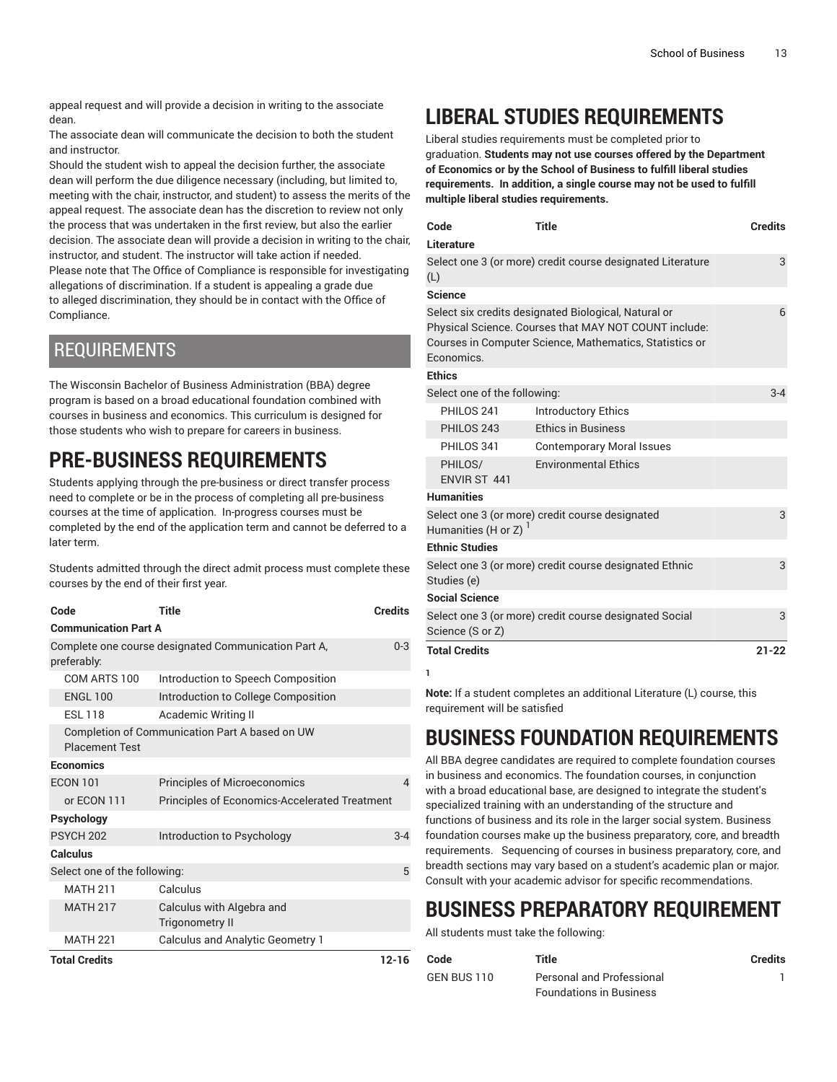appeal request and will provide a decision in writing to the associate dean.

The associate dean will communicate the decision to both the student and instructor.

Should the student wish to appeal the decision further, the associate dean will perform the due diligence necessary (including, but limited to, meeting with the chair, instructor, and student) to assess the merits of the appeal request. The associate dean has the discretion to review not only the process that was undertaken in the first review, but also the earlier decision. The associate dean will provide a decision in writing to the chair, instructor, and student. The instructor will take action if needed. Please note that The Office of Compliance is responsible for investigating allegations of discrimination. If a student is appealing a grade due to alleged discrimination, they should be in contact with the Office of Compliance.

## REQUIREMENTS

The Wisconsin Bachelor of Business Administration (BBA) degree program is based on a broad educational foundation combined with courses in business and economics. This curriculum is designed for those students who wish to prepare for careers in business.

# **PRE-BUSINESS REQUIREMENTS**

Students applying through the pre-business or direct transfer process need to complete or be in the process of completing all pre-business courses at the time of application. In-progress courses must be completed by the end of the application term and cannot be deferred to a later term.

Students admitted through the direct admit process must complete these courses by the end of their first year.

| Code                                                                    | Title                                                | <b>Credits</b> |  |
|-------------------------------------------------------------------------|------------------------------------------------------|----------------|--|
| <b>Communication Part A</b>                                             |                                                      |                |  |
| preferably:                                                             | Complete one course designated Communication Part A, | $0 - 3$        |  |
| COM ARTS 100                                                            | Introduction to Speech Composition                   |                |  |
| <b>ENGL 100</b>                                                         | Introduction to College Composition                  |                |  |
| <b>FSI 118</b>                                                          | Academic Writing II                                  |                |  |
| Completion of Communication Part A based on UW<br><b>Placement Test</b> |                                                      |                |  |
| Economics                                                               |                                                      |                |  |
| <b>FCON 101</b>                                                         | <b>Principles of Microeconomics</b>                  | 4              |  |
| or ECON 111                                                             | <b>Principles of Economics-Accelerated Treatment</b> |                |  |
| Psychology                                                              |                                                      |                |  |
| <b>PSYCH 202</b>                                                        | Introduction to Psychology                           | $3 - 4$        |  |
| <b>Calculus</b>                                                         |                                                      |                |  |
| Select one of the following:                                            |                                                      | 5              |  |
| <b>MATH 211</b>                                                         | Calculus                                             |                |  |
| <b>MATH 217</b>                                                         | Calculus with Algebra and<br><b>Trigonometry II</b>  |                |  |
| <b>MATH 221</b>                                                         | <b>Calculus and Analytic Geometry 1</b>              |                |  |
| <b>Total Credits</b>                                                    |                                                      | $12 - 16$      |  |

# **LIBERAL STUDIES REQUIREMENTS**

Liberal studies requirements must be completed prior to graduation. **Students may not use courses offered by the Department of Economics or by the School of Business to fulfill liberal studies requirements. In addition, a single course may not be used to fulfill multiple liberal studies requirements.** 

| Code                                                                                                                                                                                   | <b>Title</b>                     | <b>Credits</b> |
|----------------------------------------------------------------------------------------------------------------------------------------------------------------------------------------|----------------------------------|----------------|
| Literature                                                                                                                                                                             |                                  |                |
| Select one 3 (or more) credit course designated Literature<br>(L)                                                                                                                      | 3                                |                |
| <b>Science</b>                                                                                                                                                                         |                                  |                |
| Select six credits designated Biological, Natural or<br>Physical Science. Courses that MAY NOT COUNT include:<br>Courses in Computer Science, Mathematics, Statistics or<br>Economics. |                                  |                |
| <b>Ethics</b>                                                                                                                                                                          |                                  |                |
| Select one of the following:                                                                                                                                                           |                                  | $3 - 4$        |
| PHILOS 241                                                                                                                                                                             | <b>Introductory Ethics</b>       |                |
| PHILOS 243                                                                                                                                                                             | <b>Ethics in Business</b>        |                |
| PHILOS 341                                                                                                                                                                             | <b>Contemporary Moral Issues</b> |                |
| PHILOS/<br>FNVIR ST 441                                                                                                                                                                | <b>Environmental Ethics</b>      |                |
| <b>Humanities</b>                                                                                                                                                                      |                                  |                |
| Select one 3 (or more) credit course designated<br>Humanities (H or Z) <sup>1</sup>                                                                                                    |                                  |                |
| <b>Ethnic Studies</b>                                                                                                                                                                  |                                  |                |
| Select one 3 (or more) credit course designated Ethnic<br>Studies (e)                                                                                                                  |                                  | 3              |
| <b>Social Science</b>                                                                                                                                                                  |                                  |                |
| Select one 3 (or more) credit course designated Social<br>Science (S or Z)                                                                                                             |                                  | 3              |
| <b>Total Credits</b>                                                                                                                                                                   |                                  | $21 - 22$      |
| 1                                                                                                                                                                                      |                                  |                |

**Note:** If a student completes an additional Literature (L) course, this requirement will be satisfied

# **BUSINESS FOUNDATION REQUIREMENTS**

All BBA degree candidates are required to complete foundation courses in business and economics. The foundation courses, in conjunction with a broad educational base, are designed to integrate the student's specialized training with an understanding of the structure and functions of business and its role in the larger social system. Business foundation courses make up the business preparatory, core, and breadth requirements. Sequencing of courses in business preparatory, core, and breadth sections may vary based on a student's academic plan or major. Consult with your academic advisor for specific recommendations.

# **BUSINESS PREPARATORY REQUIREMENT**

All students must take the following:

| Code        | Title                          | Credits |
|-------------|--------------------------------|---------|
| GEN BUS 110 | Personal and Professional      |         |
|             | <b>Foundations in Business</b> |         |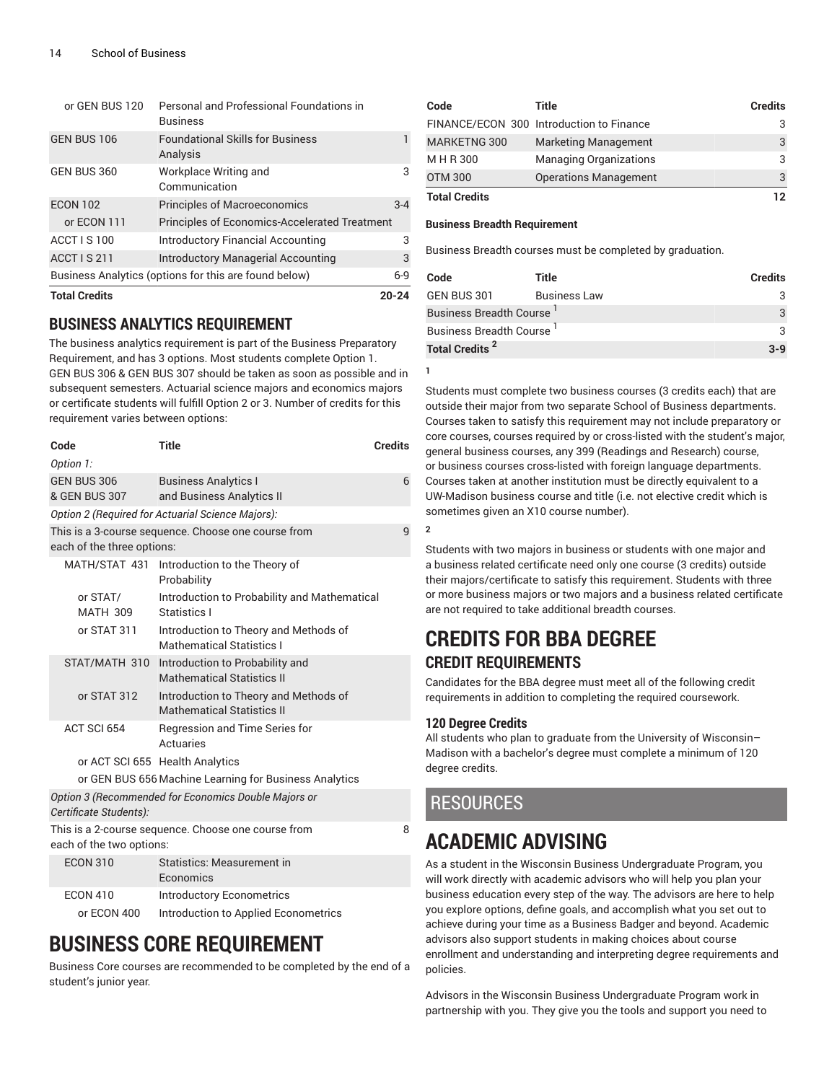| <b>Total Credits</b>                                  |                                                             | $20 - 24$ |
|-------------------------------------------------------|-------------------------------------------------------------|-----------|
| Business Analytics (options for this are found below) |                                                             | $6-9$     |
| <b>ACCT IS 211</b>                                    | <b>Introductory Managerial Accounting</b>                   | 3         |
| ACCT IS 100                                           | <b>Introductory Financial Accounting</b>                    | 3         |
| or ECON 111                                           | <b>Principles of Economics-Accelerated Treatment</b>        |           |
| <b>ECON 102</b>                                       | <b>Principles of Macroeconomics</b>                         | $3-4$     |
| GEN BUS 360                                           | Workplace Writing and<br>Communication                      | 3         |
| GEN BUS 106                                           | <b>Foundational Skills for Business</b><br>Analysis         | 1         |
| or GEN BUS 120                                        | Personal and Professional Foundations in<br><b>Business</b> |           |

## **BUSINESS ANALYTICS REQUIREMENT**

The business analytics requirement is part of the Business Preparatory Requirement, and has 3 options. Most students complete Option 1. GEN BUS 306 & GEN BUS 307 should be taken as soon as possible and in subsequent semesters. Actuarial science majors and economics majors or certificate students will fulfill Option 2 or 3. Number of credits for this requirement varies between options:

| Code                                                   | Title                                                                      | <b>Credits</b> |  |
|--------------------------------------------------------|----------------------------------------------------------------------------|----------------|--|
| Option 1:                                              |                                                                            |                |  |
| GEN BUS 306<br>& GEN BUS 307                           | <b>Business Analytics I</b><br>and Business Analytics II                   | 6              |  |
|                                                        | Option 2 (Required for Actuarial Science Majors):                          |                |  |
| each of the three options:                             | This is a 3-course sequence. Choose one course from                        | 9              |  |
|                                                        | MATH/STAT 431 Introduction to the Theory of<br>Probability                 |                |  |
| or STAT/<br><b>MATH 309</b>                            | Introduction to Probability and Mathematical<br>Statistics I               |                |  |
| or STAT 311                                            | Introduction to Theory and Methods of<br><b>Mathematical Statistics I</b>  |                |  |
| STAT/MATH 310                                          | Introduction to Probability and<br><b>Mathematical Statistics II</b>       |                |  |
| or STAT 312                                            | Introduction to Theory and Methods of<br><b>Mathematical Statistics II</b> |                |  |
| ACT SCI 654                                            | Regression and Time Series for<br>Actuaries                                |                |  |
|                                                        | or ACT SCI 655 Health Analytics                                            |                |  |
| or GEN BUS 656 Machine Learning for Business Analytics |                                                                            |                |  |
| Certificate Students):                                 | Option 3 (Recommended for Economics Double Majors or                       |                |  |
| each of the two options:                               | This is a 2-course sequence. Choose one course from                        | 8              |  |
| <b>ECON 310</b>                                        | <b>Statistics: Measurement in</b>                                          |                |  |

|                 | Economics                            |
|-----------------|--------------------------------------|
| <b>ECON 410</b> | Introductory Econometrics            |
| or ECON 400     | Introduction to Applied Econometrics |

# **BUSINESS CORE REQUIREMENT**

Business Core courses are recommended to be completed by the end of a student's junior year.

| Code                 | Title                                    | Credits |
|----------------------|------------------------------------------|---------|
|                      | FINANCE/ECON 300 Introduction to Finance |         |
| MARKETNG 300         | <b>Marketing Management</b>              | 3       |
| M H R 300            | <b>Managing Organizations</b>            | 3       |
| <b>OTM 300</b>       | <b>Operations Management</b>             | 3       |
| <b>Total Credits</b> |                                          | 12      |

#### **Business Breadth Requirement**

Business Breadth courses must be completed by graduation.

| Code                                 | Title               | <b>Credits</b> |
|--------------------------------------|---------------------|----------------|
| GEN BUS 301                          | <b>Business Law</b> | 3              |
| Business Breadth Course <sup>I</sup> |                     | $\mathcal{R}$  |
| Business Breadth Course <sup>I</sup> |                     | 3              |
| Total Credits <sup>2</sup>           |                     | $3-9$          |
|                                      |                     |                |

Students must complete two business courses (3 credits each) that are outside their major from two separate School of Business departments. Courses taken to satisfy this requirement may not include preparatory or core courses, courses required by or cross-listed with the student's major, general business courses, any 399 (Readings and Research) course, or business courses cross-listed with foreign language departments. Courses taken at another institution must be directly equivalent to a UW-Madison business course and title (i.e. not elective credit which is sometimes given an X10 course number).

**2**

**1**

Students with two majors in business or students with one major and a business related certificate need only one course (3 credits) outside their majors/certificate to satisfy this requirement. Students with three or more business majors or two majors and a business related certificate are not required to take additional breadth courses.

# **CREDITS FOR BBA DEGREE CREDIT REQUIREMENTS**

Candidates for the BBA degree must meet all of the following credit requirements in addition to completing the required coursework.

#### **120 Degree Credits**

All students who plan to graduate from the University of Wisconsin– Madison with a bachelor's degree must complete a minimum of 120 degree credits.

## RESOURCES

# **ACADEMIC ADVISING**

As a student in the Wisconsin Business Undergraduate Program, you will work directly with academic advisors who will help you plan your business education every step of the way. The advisors are here to help you explore options, define goals, and accomplish what you set out to achieve during your time as a Business Badger and beyond. Academic advisors also support students in making choices about course enrollment and understanding and interpreting degree requirements and policies.

Advisors in the Wisconsin Business Undergraduate Program work in partnership with you. They give you the tools and support you need to